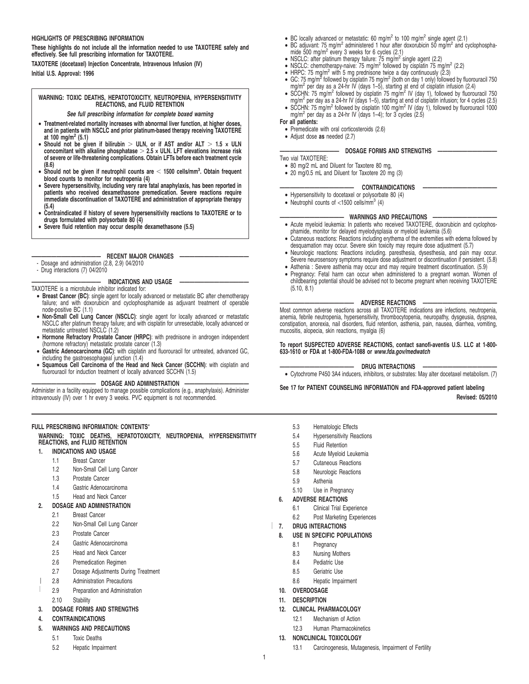#### **HIGHLIGHTS OF PRESCRIBING INFORMATION**

**These highlights do not include all the information needed to use TAXOTERE safely and effectively. See full prescribing information for TAXOTERE.**

**TAXOTERE (docetaxel) Injection Concentrate, Intravenous Infusion (IV) Initial U.S. Approval: 1996**

**WARNING: TOXIC DEATHS, HEPATOTOXICITY, NEUTROPENIA, HYPERSENSITIVITY REACTIONS, and FLUID RETENTION**

**See full prescribing information for complete boxed warning**

- **Treatment-related mortality increases with abnormal liver function, at higher doses, and in patients with NSCLC and prior platinum-based therapy receiving TAXOTERE**
- **at 100 mg/m<sup>2</sup> (5.1) Should not be given if bilirubin** . **ULN, or if AST and/or ALT** . **1.5 × ULN** concomitant with alkaline phosphatase  $> 2.5 \times$  ULN. LFT elevations increase risk<br>of severe or life-threatening complications. Obtain LFTs before each treatment cycle **(8.6)**
- Should not be given if neutrophil counts are < 1500 cells/mm<sup>3</sup>. Obtain frequent
- blood counts to monitor for neutropenia (4)<br>• Severe hypersensitivity, including very rare fatal anaphylaxis, has been reported in<br>patients who received dexamethasone premedication. Severe reactions require<br>immediate disco **(5.4)**
- **Contraindicated if history of severe hypersensitivity reactions to TAXOTERE or to drugs formulated with polysorbate 80 (4)**
- **Severe fluid retention may occur despite dexamethasone (5.5)**

#### **EFCENT MAJOR CHANGES**

- Dosage and administration (2.8, 2.9) 04/2010
- Drug interactions (7) 04/2010

#### **INDICATIONS AND USAGE**

TAXOTERE is a microtubule inhibitor indicated for:

- **Breast Cancer (BC)**: single agent for locally advanced or metastatic BC after chemotherapy failure; and with doxorubicin and cyclophosphamide as adjuvant treatment of operable node-positive BC (1.1)
- **Non-Small Cell Lung Cancer (NSCLC)**: single agent for locally advanced or metastatic NSCLC after platinum therapy failure; and with cisplatin for unresectable, locally advanced or metastatic untreated NSCLC<sup>'</sup>(1.2)
- **Hormone Refractory Prostate Cancer (HRPC)**: with prednisone in androgen independent (hormone refractory) metastatic prostate cancer (1.3)
- **Gastric Adenocarcinoma (GC)**: with cisplatin and fluorouracil for untreated, advanced GC, including the gastroesophageal junction (1.4)
- **Squamous Cell Carcinoma of the Head and Neck Cancer (SCCHN)**: with cisplatin and fluorouracil for induction treatment of locally advanced SCCHN (1.5)

**————————————— DOSAGE AND ADMINISTRATION —————————————**

Administer in a facility equipped to manage possible complications (e.g., anaphylaxis). Administer intravenously (IV) over 1 hr every 3 weeks. PVC equipment is not recommended.

# **FULL PRESCRIBING INFORMATION: CONTENTS**\*

**WARNING: TOXIC DEATHS, HEPATOTOXICITY, NEUTROPENIA, HYPERSENSITIVITY REACTIONS, and FLUID RETENTION**

- **1. INDICATIONS AND USAGE**
	- 1.1 Breast Cancer
	- 1.2 Non-Small Cell Lung Cancer
	- 1.3 Prostate Cancer
	- 1.4 Gastric Adenocarcinoma
	- 1.5 Head and Neck Cancer

# **2. DOSAGE AND ADMINISTRATION**

- 2.1 Breast Cancer
- 2.2 Non-Small Cell Lung Cancer
- 2.3 Prostate Cancer
- 2.4 Gastric Adenocarcinoma
- 2.5 Head and Neck Cancer
- 2.6 Premedication Regimen
- 2.7 Dosage Adjustments During Treatment
- 2.8 Administration Precautions
- 2.9 Preparation and Administration
- 2.10 Stability

## **3. DOSAGE FORMS AND STRENGTHS**

**4. CONTRAINDICATIONS**

### **5. WARNINGS AND PRECAUTIONS**

- 5.1 Toxic Deaths
- 5.2 Hepatic Impairment
- BC locally advanced or metastatic: 60 mg/m<sup>2</sup> to 100 mg/m<sup>2</sup> single agent (2.1)
- BC adjuvant: 75 mg/m<sup>2</sup> administered 1 hour after doxorubicin 50 mg/m<sup>2</sup> and cyclophosphamide 500 mg/m<sup>2</sup> every 3 weeks for 6 cycles (2.1)<br>• NSCLC: after platinum therapy failure: 75 mg/m<sup>2</sup> single agent (2.2)<br>• NSCLC: chemotherapy-naive: 75 mg/m<sup>2</sup> followed by cisplatin 75 mg/m<sup>2</sup> (2.2)
- 
- 
- HRPC: 75 mg/m<sup>2</sup> with 5 mg prednisone twice a day continuously  $(2.3)$
- GC: 75 mg/m<sup>2</sup> followed by cisplatin 75 mg/m<sup>2</sup> (both on day 1 only) followed by fluorouracil 750<br>mg/m<sup>2</sup> per day as a 24-hr IV (days 1–5), starting at end of cisplatin infusion (2.4)<br>SCCHN: 75 mg/m<sup>2</sup> followed by cisplati
- mg/m<sup>2</sup> per day as a 24-hr IV (days 1–5), starting at end of cisplatin infusion; for 4 cycles (2.5)
- SCCHN: 75 mg/m<sup>2</sup> followed by cisplatin 100 mg/m<sup>2</sup> IV (day 1), followed by fluorouracil 1000<br>mg/m<sup>2</sup> per day as a 24-hr IV (days 1–4); for 3 cycles (2.5)
- **For all patients:**
	- Premedicate with oral corticosteroids (2.6)
	- Adjust dose **as** needed (2.7)

# **———————————— DOSAGE FORMS AND STRENGTHS ————————————**

Two vial TAXOTERE:

- 80 mg/2 mL and Diluent for Taxotere 80 mg,
- 20 mg/0.5 mL and Diluent for Taxotere 20 mg (3)

#### **——————————————— CONTRAINDICATIONS ———————————————**

- Hypersensitivity to docetaxel or polysorbate 80 (4) • Neutrophil counts of  $<$ 1500 cells/mm<sup>3</sup> (4)
	-
- $-$  WARNINGS AND PRECAUTIONS • Acute myeloid leukemia: In patients who received TAXOTERE, doxorubicin and cyclophosphamide, monitor for delayed myelodysplasia or myeloid leukemia (5.6)
- Cutaneous reactions: Reactions including erythema of the extremities with edema followed by desquamation may occur. Severe skin toxicity may require dose adjustment (5.7)
- Neurologic reactions: Reactions including. paresthesia, dysesthesia, and pain may occur. Severe neurosensory symptoms require dose adjustment or discontinuation if persistent. (5.8)
- Asthenia : Severe asthenia may occur and may require treatment discontinuation. (5.9) • Pregnancy: Fetal harm can occur when administered to a pregnant woman. Women of
- childbearing potential should be advised not to become pregnant when receiving TAXOTERE (5.10, 8.1)

#### **——————————————— ADVERSE REACTIONS ———————————————**

Most common adverse reactions across all TAXOTERE indications are infections, neutropenia, anemia, febrile neutropenia, hypersensitivity, thrombocytopenia, neuropathy, dysgeusia, dyspnea, constipation, anorexia, nail disorders, fluid retention, asthenia, pain, nausea, diarrhea, vomiting, mucositis, alopecia, skin reactions, myalgia (6)

#### **To report SUSPECTED ADVERSE REACTIONS, contact sanofi-aventis U.S. LLC at 1-800- 633-1610 or FDA at 1-800-FDA-1088 or www.fda.gov/medwatch**

# - DRUG INTERACTIONS

• Cytochrome P450 3A4 inducers, inhibitors, or substrates: May alter docetaxel metabolism. (7)

# **See 17 for PATIENT COUNSELING INFORMATION and FDA-approved patient labeling**

#### **Revised: 05/2010**

- 5.3 Hematologic Effects
- 5.4 Hypersensitivity Reactions
- 5.5 Fluid Retention
- 5.6 Acute Myeloid Leukemia
- 5.7 Cutaneous Reactions
- 5.8 Neurologic Reactions
- 
- 5.9 Asthenia
- 5.10 Use in Pregnancy

# **6. ADVERSE REACTIONS**

- 6.1 Clinical Trial Experience
- 6.2 Post Marketing Experiences

# **7. DRUG INTERACTIONS**

- **8. USE IN SPECIFIC POPULATIONS**
	- 8.1 Pregnancy
	- 8.3 Nursing Mothers
	- 8.4 Pediatric Use 8.5 Geriatric Use
	-
	- 8.6 Hepatic Impairment
- **10. OVERDOSAGE**
- **11. DESCRIPTION**

1

**12. CLINICAL PHARMACOLOGY**

**13. NONCLINICAL TOXICOLOGY**

12.1 Mechanism of Action 12.3 Human Pharmacokinetics

13.1 Carcinogenesis, Mutagenesis, Impairment of Fertility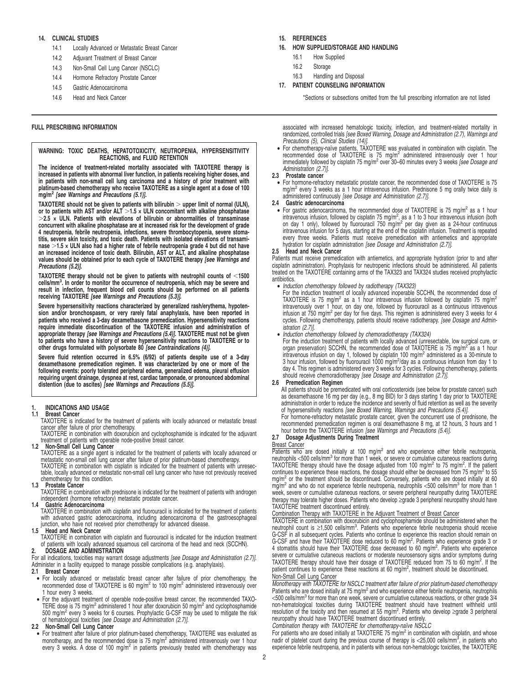## **14. CLINICAL STUDIES**

- 14.1 Locally Advanced or Metastatic Breast Cancer
- 14.2 Adjuvant Treatment of Breast Cancer
- 14.3 Non-Small Cell Lung Cancer (NSCLC)
- 14.4 Hormone Refractory Prostate Cancer
- 14.5 Gastric Adenocarcinoma
- 14.6 Head and Neck Cancer

#### **FULL PRESCRIBING INFORMATION**

### **WARNING: TOXIC DEATHS, HEPATOTOXICITY, NEUTROPENIA, HYPERSENSITIVITY REACTIONS, and FLUID RETENTION**

**The incidence of treatment-related mortality associated with TAXOTERE therapy is increased in patients with abnormal liver function, in patients receiving higher doses, and in patients with non-small cell lung carcinoma and a history of prior treatment with platinum-based chemotherapy who receive TAXOTERE as a single agent at a dose of 100 mg/m<sup>2</sup> [see Warnings and Precautions (5.1)].**

**TAXOTERE should not be given to patients with bilirubin** . **upper limit of normal (ULN), or to patients with AST and/or ALT** .**1.5 × ULN concomitant with alkaline phosphatase** .**2.5 × ULN. Patients with elevations of bilirubin or abnormalities of transaminase concurrent with alkaline phosphatase are at increased risk for the development of grade 4 neutropenia, febrile neutropenia, infections, severe thrombocytopenia, severe stomatitis, severe skin toxicity, and toxic death. Patients with isolated elevations of transaminase** .**1.5 × ULN also had a higher rate of febrile neutropenia grade 4 but did not have an increased incidence of toxic death. Bilirubin, AST or ALT, and alkaline phosphatase values should be obtained prior to each cycle of TAXOTERE therapy [see Warnings and Precautions (5.2)].**

**TAXOTERE therapy should not be given to patients with neutrophil counts of** ,**1500 cells/mm<sup>3</sup> . In order to monitor the occurrence of neutropenia, which may be severe and result in infection, frequent blood cell counts should be performed on all patients receiving TAXOTERE [see Warnings and Precautions (5.3)].**

**Severe hypersensitivity reactions characterized by generalized rash/erythema, hypoten-sion and/or bronchospasm, or very rarely fatal anaphylaxis, have been reported in patients who received a 3-day dexamethasone premedication. Hypersensitivity reactions require immediate discontinuation of the TAXOTERE infusion and administration of appropriate therapy [see Warnings and Precautions (5.4)]. TAXOTERE must not be given to patients who have a history of severe hypersensitivity reactions to TAXOTERE or to other drugs formulated with polysorbate 80 [see Contraindications (4)].**

**Severe fluid retention occurred in 6.5% (6/92) of patients despite use of a 3-day dexamethasone premedication regimen. It was characterized by one or more of the following events: poorly tolerated peripheral edema, generalized edema, pleural effusion requiring urgent drainage, dyspnea at rest, cardiac tamponade, or pronounced abdominal distention (due to ascites) [see Warnings and Precautions (5.5)].**

# **1. INDICATIONS AND USAGE**

#### **1.1 Breast Cancer**

TAXOTERE is indicated for the treatment of patients with locally advanced or metastatic breast<br>cancer after failure of prior chemotherapy.<br>TAXOTERE in combination with doxorubicin and cyclophosphamide is indicated for the

treatment of patients with operable node-positive breast cancer.

# **1.2 Non-Small Cell Lung Cancer**

TAXOTERE as a single agent is indicated for the treatment of patients with locally advanced or

metastatic non-small cell lung cancer after failure of prior platinum-based chemotherapy.<br>TAXOTERE in combination with cisplatin is indicated for the treatment of patients with unresec-<br>table, locally advanced or metastati chemotherapy for this condition. **1.3 Prostate Cancer**

TAXOTERE in combination with prednisone is indicated for the treatment of patients with androgen independent (hormone refractory) metastatic prostate cancer.

# **1.4 Gastric Adenocarcinoma** TAXOTERE in combination with cisplatin and fluorouracil is indicated for the treatment of patients with advanced gastric adenocarcinoma, including adenocarcinoma of the gastroesophageal junction, who have not received prior chemotherapy for advanced disease.

# **1.5 Head and Neck Cancer**

TAXOTERE in combination with cisplatin and fluorouracil is indicated for the induction treatment of patients with locally advanced squamous cell carcinoma of the head and neck (SCCHN). **2. DOSAGE AND ADMINISTRATION**

For all indications, toxicities may warrant dosage adjustments [see Dosage and Administration (2.7)]. Administer in a facility equipped to manage possible complications (e.g. anaphylaxis).

#### **2.1 Breast Cancer**

- For locally advanced or metastatic breast cancer after failure of prior chemotherapy, the recommended dose of TAXOTERE is 60 mg/m<sup>2</sup> to 100 mg/m<sup>2</sup> administered intravenously over 1 hour every 3 weeks.
- For the adjuvant treatment of operable node-positive breast cancer, the recommended TAXO-TERE dose is 75 mg/m<sup>2</sup> administered 1 hour after doxorubicin 50 mg/m<sup>2</sup> and cyclophosphamide 500 mg/m<sup>2</sup> every 3 weeks for 6 courses. Prophylactic G-CSF may be used to mitigate the risk of hematological toxicities [see Dosage and Administration (2.7)].

#### **2.2 Non-Small Cell Lung Cancer**

• For treatment after failure of prior platinum-based chemotherapy, TAXOTERE was evaluated as monotherapy, and the recommended dose is 75 mg/m<sup>2</sup> administered intravenously over 1 hour every 3 weeks. A dose of 100 mg/m<sup>2</sup> in patients previously treated with chemotherapy was

#### **15. REFERENCES**

- **16. HOW SUPPLIED/STORAGE AND HANDLING**
	- 16.1 How Supplied
	- 16.2 Storage
	- 16.3 Handling and Disposal

### **17. PATIENT COUNSELING INFORMATION**

\*Sections or subsections omitted from the full prescribing information are not listed

associated with increased hematologic toxicity, infection, and treatment-related mortality in randomized, controlled trials [see Boxed Warning, Dosage and Administration (2.7), Warnings and

Precautions (5), Clinical Studies (14)]. • For chemotherapy-naïve patients, TAXOTERE was evaluated in combination with cisplatin. The recommended dose of TAXOTERE is 75 mg/m<sup>2</sup> administered intravenously over 1 hour<br>immediately followed by cisplatin 75 mg/m<sup>2</sup> over 30–60 minutes every 3 weeks *[see Dosage and* Administration (2.7)].

#### **2.3 Prostate cancer**

• For hormone-refractory metastatic prostate cancer, the recommended dose of TAXOTERE is 75 mg/m<sup>2</sup> every 3 weeks as a 1 hour intravenous infusion. Prednisone 5 mg orally twice daily is administered continuously [see Dosage and Administration (2.7)].

#### **2.4 Gastric adenocarcinoma**

• For gastric adenocarcinoma, the recommended dose of TAXOTERE is 75 mg/m<sup>2</sup> as a 1 hour intravenous infusion, followed by cisplatin 75 mg/m<sup>2</sup>, as a 1 to 3 hour intravenous infusion (both<br>on day 1 only), followed by fluorouracil 750 mg/m<sup>2</sup> per day given as a 24-hour continuous<br>intravenous infusion for 5 days every three weeks. Patients must receive premedication with antiemetics and appropriate<br>hydration for cisplatin administration [see Dosage and Administration (2.7)].

#### **2.5 Head and Neck Cancer**

Patients must receive premedication with antiemetics, and appropriate hydration (prior to and after<br>cisplatin administration). Prophylaxis for neutropenic infections should be administered. All patients<br>treated on the TAXO antibiotics.

• Induction chemotherapy followed by radiotherapy (TAX323)<br>For the induction treatment of locally advanced inoperable SCCHN, the recommended dose of<br>TAXOTERE is 75 mg/m<sup>2</sup> as a 1 hour intravenous infusion followed by cisp intravenously over 1 hour, on day one, followed by fluorouracil as a continuous intravenous infusion at 750 mg/m<sup>2</sup> per day for five days. This regimen is administered every 3 weeks for 4 cycles. Following chemotherapy, patients should receive radiotherapy. [see Dosage and Administration (2.7)].

• Induction chemotherapy followed by chemoradiotherapy (TAX324)

For the induction treatment of patients with locally advanced (unresectable, low surgical cure, or organ preservation) SCCHN, the recommended dose of TAXOTERE is 75 mg/m<sup>2</sup> as a 1 hour intravenous infusion on day 1, followed by cisplatin 100 mg/m<sup>2</sup> administered as a 30-minute to<br>3 hour infusion, followed by fluorouracil 1000 mg/m<sup>2</sup>/day as a continuous infusion from day 1 to day 4. This regimen is administered every 3 weeks for 3 cycles. Following chemotherapy, patients should receive chemoradiotherapy [see Dosage and Administration (2.7)].

#### **2.6 Premedication Regimen**

All patients should be premedicated with oral corticosteroids (see below for prostate cancer) such as dexamethasone 16 mg per day (e.g., 8 mg BID) for 3 days starting 1 day prior to TAXOTERE administration in order to reduce the incidence and severity of fluid retention as well as the severity of hypersensitivity reactions [see Boxed Warning, Warnings and Precautions (5.4)].

For hormone-refractory metastatic prostate cancer, given the concurrent use of prednisone, the recommended premedication regimen is oral dexamethasone 8 mg, at 12 hours, 3 hours and 1 hour before the TAXOTERE infusion [see Warnings and Precautions (5.4)].

#### **2.7 Dosage Adjustments During Treatment**

#### Breast Cancer

Patients who are dosed initially at 100 mg/m<sup>2</sup> and who experience either febrile neutropenia,<br>neutrophils <500 cells/mm<sup>3</sup> for more than 1 week, or severe or cumulative cutaneous reactions during TAXOTERE therapy should have the dosage adjusted from 100 mg/m<sup>2</sup> to 75 mg/m<sup>2</sup>. If the patient continues to experience these reactions, the dosage should either be decreased from 75 mg/m<sup>2</sup> to 55<br>mg/m<sup>2</sup> or the treatment should be discontinued. Conversely, patients who are dosed initially at 60 mg/m<sup>2</sup> and who do not experience febrile neutropenia, neutrophils <500 cells/mm<sup>3</sup> for more than 1 week, severe or cumulative cutaneous reactions, or severe peripheral neuropathy during TAXOTERE therapy may tolerate higher doses. Patients who develop ≥grade 3 peripheral neuropathy should have TAXOTERE treatment discontinued entirely.

# Combination Therapy with TAXOTERE in the Adjuvant Treatment of Breast Cancer

TAXOTERE in combination with doxorubicin and cyclophosphamide should be administered when the<br>neutrophil count is ≥1,500 cells/mm<sup>3</sup>. Patients who experience febrile neutropenia should receive G-CSF in all subsequent cycles. Patients who continue to experience this reaction should remain on<br>G-CSF and have their TAXOTERE dose reduced to 60 mg/m<sup>2</sup>. Patients who experience grade 3 or<br>4 stomatitis should have their severe or cumulative cutaneous reactions or moderate neurosensory signs and/or symptoms during TAXOTERE therapy should have their dosage of TAXOTERE reduced from 75 to 60 mg/m<sup>2</sup>. If the patient continues to experience these reactions at 60 mg/m<sup>2</sup>, treatment should be discontinued. Non-Small Cell Lung Cancer

Monotherapy with TAXOTERE for NSCLC treatment after failure of prior platinum-based chemotherapy Patients who are dosed initially at 75 mg/m<sup>2</sup> and who experience either febrile neutropenia, neutrophils<br><500 cells/mm<sup>3</sup> for more than one week, severe or cumulative cutaneous reactions, or other grade 3/4<br>non-hematologi resolution of the toxicity and then resumed at 55 mg/m<sup>2</sup>. Patients who develop ≥grade 3 peripheral neuropathy should have TAXOTERE treatment discontinued entirely.

Combination therapy with TAXOTERE for chemotherapy-naïve NSCLC

For patients who are dosed initially at TAXOTERE 75 mg/m<sup>2</sup> in combination with cisplatin, and whose nadir of platelet count during the previous course of therapy is <25,000 cells/mm<sup>3</sup>, in patients who experience febrile neutropenia, and in patients with serious non-hematologic toxicities, the TAXOTERE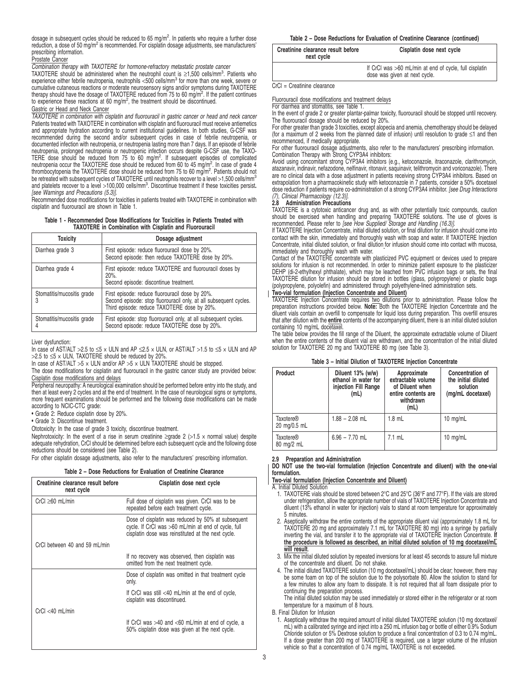dosage in subsequent cycles should be reduced to 65 mg/m<sup>2</sup>. In patients who require a further dose reduction, a dose of 50 mg/m<sup>2</sup> is recommended. For cisplatin dosage adjustments, see manufacturers' prescribing information.

## Prostate Cancer

**Combination therapy with TAXOTERE for hormone-refractory metastatic prostate cancer** 

TAXOTERE should be administered when the neutrophil count is ≥1,500 cells/mm<sup>3</sup>. Patients who<br>experience either febrile neutropenia, neutrophils <500 cells/mm<sup>3</sup> for more than one week, severe or cumulative cutaneous reactions or moderate neurosensory signs and/or symptoms during TAXOTERE therapy should have the dosage of TAXOTERE reduced from 75 to 60 mg/m<sup>2</sup>. If the patient continues to experience these reactions at 60 mg/m<sup>2</sup>, the treatment should be discontinued.

#### Gastric or Head and Neck Cancer

TAXOTERE in combination with cisplatin and fluorouracil in gastric cancer or head and neck cancer Patients treated with TAXOTERE in combination with cisplatin and fluorouracil must receive antiemetics and appropriate hydration according to current institutional guidelines. In both studies, G-CSF was recommended during the second and/or subsequent cycles in case of febrile neutropenia, or documented infection with neutropenia, or neutropenia lasting more than 7 days. If an episode of febrile neutropenia, prolonged neutropenia or neutropenic infection occurs despite G-CSF use, the TAXO-<br>TERE dose should be reduced from 75 to 60 mg/m<sup>2</sup>. If subsequent episodes of complicated<br>neutropenia occur the TAXOTERE dose s be retreated with subsequent cycles of TAXOTERE until neutrophils recover to a level >1,500 cells/mm<sup>3</sup> and platelets recover to a level >100,000 cells/mm<sup>3</sup> . Discontinue treatment if these toxicities persist**.** [see Warnings and Precautions (5.3)].

Recommended dose modifications for toxicities in patients treated with TAXOTERE in combination with cisplatin and fluorouracil are shown in Table 1.

#### **Table 1 - Recommended Dose Modifications for Toxicities in Patients Treated with TAXOTERE in Combination with Cisplatin and Fluorouracil**

| <b>Toxicity</b>                 | Dosage adjustment                                                                                                                                                   |
|---------------------------------|---------------------------------------------------------------------------------------------------------------------------------------------------------------------|
| Diarrhea grade 3                | First episode: reduce fluorouracil dose by 20%.<br>Second episode: then reduce TAXOTERE dose by 20%.                                                                |
| Diarrhea grade 4                | First episode: reduce TAXOTERE and fluorouracil doses by<br>$20%$ .<br>Second episode: discontinue treatment.                                                       |
| Stomatitis/mucositis grade<br>3 | First episode: reduce fluorouracil dose by 20%.<br>Second episode: stop fluorouracil only, at all subsequent cycles.<br>Third episode: reduce TAXOTERE dose by 20%. |
| Stomatitis/mucositis grade      | First episode: stop fluorouracil only, at all subsequent cycles.<br>Second episode: reduce TAXOTERE dose by 20%.                                                    |

Liver dysfunction:

In case of AST/ALT > 2.5 to  $\leq$ 5 x ULN and AP  $\leq$ 2.5 x ULN, or AST/ALT > 1.5 to  $\leq$ 5 x ULN and AP  $>2.5$  to  $\leq$  X ULN, TAXOTERE should be reduced by 20%

In case of AST/ALT  $>5 \times$  ULN and/or AP  $>5 \times$  ULN TAXOTERE should be stopped.

The dose modifications for cisplatin and fluorouracil in the gastric cancer study are provided below: Cisplatin dose modifications and delays

Peripheral neuropathy: A neurological examination should be performed before entry into the study, and then at least every 2 cycles and at the end of treatment. In the case of neurological signs or symptoms, more frequent examinations should be performed and the following dose modifications can be made according to NCIC-CTC grade:

• Grade 2: Reduce cisplatin dose by 20%.

• Grade 3: Discontinue treatment.

Ototoxicity: In the case of grade 3 toxicity, discontinue treatment.

Nephrotoxicity: In the event of a rise in serum creatinine ≥grade 2 (>1.5 x normal value) despite adequate rehydration, CrCl should be determined before each subsequent cycle and the following dose reductions should be considered (see Table 2).

For other cisplatin dosage adjustments, also refer to the manufacturers' prescribing information.

#### **Table 2 – Dose Reductions for Evaluation of Creatinine Clearance**

| Creatinine clearance result before<br>next cycle | Cisplatin dose next cycle                                                                                                                                       |
|--------------------------------------------------|-----------------------------------------------------------------------------------------------------------------------------------------------------------------|
| $CrCl \geq 60$ mL/min                            | Full dose of cisplatin was given. CrCl was to be<br>repeated before each treatment cycle.                                                                       |
|                                                  | Dose of cisplatin was reduced by 50% at subsequent<br>cycle. If CrCI was >60 mL/min at end of cycle, full<br>cisplatin dose was reinstituted at the next cycle. |
| CrCl between 40 and 59 mL/min                    |                                                                                                                                                                 |
|                                                  | If no recovery was observed, then cisplatin was<br>omitted from the next treatment cycle.                                                                       |
|                                                  | Dose of cisplatin was omitted in that treatment cycle<br>only.                                                                                                  |
|                                                  | If CrCl was still $<$ 40 mL/min at the end of cycle,<br>cisplatin was discontinued.                                                                             |
| $CrCl < 40$ mL/min                               |                                                                                                                                                                 |
|                                                  | If CrCl was $>40$ and $<$ 60 mL/min at end of cycle, a<br>50% cisplatin dose was given at the next cycle.                                                       |

#### **Table 2 – Dose Reductions for Evaluation of Creatinine Clearance (continued)**

| Creatinine clearance result before<br>next cycle | Cisplatin dose next cycle                                                               |
|--------------------------------------------------|-----------------------------------------------------------------------------------------|
|                                                  | If CrCI was >60 mL/min at end of cycle, full cisplatin<br>dose was given at next cycle. |

CrCl = Creatinine clearance

Fluorouracil dose modifications and treatment delays

For diarrhea and stomatitis, see Table 1.

In the event of grade 2 or greater plantar-palmar toxicity, fluorouracil should be stopped until recovery. The fluorouracil dosage should be reduced by 20%.

For other greater than grade 3 toxicities, except alopecia and anemia, chemotherapy should be delayed (for a maximum of 2 weeks from the planned date of infusion) until resolution to grade ≤1 and then recommenced, if medically appropriate.

For other fluorouracil dosage adjustments, also refer to the manufacturers' prescribing information.

Combination Therapy with Strong CYP3A4 inhibitors: Avoid using concomitant strong CYP3A4 inhibitors (e.g., ketoconazole, itraconazole, clarithromycin, atazanavir, indinavir, nefazodone, nelfinavir, ritonavir, saquinavir, telithromycin and voriconazole). There are no clinical data with a dose adjustment in patients receiving strong CYP3A4 inhibitors. Based on extrapolation from a pharmacokinetic study with ketoconazole in 7 patients, consider a 50% docetaxel dose reduction if patients require co-administration of a strong CYP3A4 inhibitor. [see Drug Interactions (7), Clinical Pharmacology (12.3)].<br>2.8 Administration Precaution

#### **2.8 Administration Precautions**

TAXOTERE is a cytotoxic anticancer drug and, as with other potentially toxic compounds, caution<br>should be exercised when handling and preparing TAXOTERE solutions. The use of gloves is<br>recommended. Please refer to [see How

If TAXOTERE Injection Concentrate, initial diluted solution, or final dilution for infusion should come into contact with the skin, immediately and thoroughly wash with soap and water. If TAXOTERE Injection Concentrate, initial diluted solution, or final dilution for infusion should come into contact with mucosa,

immediately and thoroughly wash with water. Contact of the TAXOTERE concentrate with plasticized PVC equipment or devices used to prepare solutions for infusion is not recommended. In order to minimize patient exposure to the plasticizer DEHP (di-2-ethylhexyl phthalate), which may be leached from PVC infusion bags or sets, the final TAXOTERE dilution for infusion should be stored in bottles (glass, polypropylene) or plastic bags (polypropylene, polyolefin) and administered through polyethylene-lined administration sets. **Two-vial formulation (Injection Concentrate and Diluent)**

TAXOTERE Injection Concentrate requires two dilutions prior to administration. Please follow the preparation instructions provided below. **Note:** Both the TAXOTERE Injection Concentrate and the diluent vials contain an overfill to compensate for liquid loss during preparation. This overfill ensures that after dilution with the **entire** contents of the accompanying diluent, there is an initial diluted solution containing 10 mg/mL docetaxel.

The table below provides the fill range of the Diluent, the approximate extractable volume of Diluent when the entire contents of the diluent vial are withdrawn, and the concentration of the initial diluted solution for TAXOTERE 20 mg and TAXOTERE 80 mg (see Table 3).

| Table 3 - Initial Dilution of TAXOTERE Injection Concentrate |  |  |  |  |
|--------------------------------------------------------------|--|--|--|--|
|--------------------------------------------------------------|--|--|--|--|

| Product                          | Diluent 13% (w/w)<br>ethanol in water for<br>injection Fill Range<br>(mL) | Approximate<br>extractable volume<br>of Diluent when<br>entire contents are<br>withdrawn<br>(mL) | Concentration of<br>the initial diluted<br>solution<br>(mg/mL docetaxel) |
|----------------------------------|---------------------------------------------------------------------------|--------------------------------------------------------------------------------------------------|--------------------------------------------------------------------------|
| <b>Taxotere®</b><br>20 mg/0.5 mL | $1.88 - 2.08$ mL                                                          | $1.8$ mL                                                                                         | 10 mg/mL                                                                 |
| <b>Taxotere®</b><br>80 mg/2 mL   | $6.96 - 7.70$ mL                                                          | $7.1$ mL                                                                                         | 10 $mg/mL$                                                               |

#### **2.9 Preparation and Administration**

**DO NOT use the two-vial formulation (Injection Concentrate and diluent) with the one-vial formulation.**

**Two-vial formulation (Injection Concentrate and Diluent)**

A. Initial Diluted Solution

- 1. TAXOTERE vials should be stored between 2°C and 25°C (36°F and 77°F). If the vials are stored under refrigeration, allow the appropriate number of vials of TAXOTERE Injection Concentrate and diluent (13% ethanol in water for injection) vials to stand at room temperature for approximately 5 minutes.
- 2. Aseptically withdraw the entire contents of the appropriate diluent vial (approximately 1.8 mL for TAXOTERE 20 mg and approximately 7.1 mL for TAXOTERE 80 mg) into a syringe by partially inverting the vial, and transfer it to the appropriate vial of TAXOTERE Injection Concentrate. **If the procedure is followed as described, an initial diluted solution of 10 mg docetaxel/mL will result**.
- 3. Mix the initial diluted solution by repeated inversions for at least 45 seconds to assure full mixture of the concentrate and diluent. Do not shake.
- 4. The initial diluted TAXOTERE solution (10 mg docetaxel/mL) should be clear; however, there may be some foam on top of the solution due to the polysorbate 80. Allow the solution to stand for a few minutes to allow any foam to dissipate. It is not required that all foam dissipate prior to continuing the preparation process.

The initial diluted solution may be used immediately or stored either in the refrigerator or at room temperature for a maximum of 8 hours.

B. Final Dilution for Infusion

1. Aseptically withdraw the required amount of initial diluted TAXOTERE solution (10 mg docetaxel/ mL) with a calibrated syringe and inject into a 250 mL infusion bag or bottle of either 0.9% Sodium Chloride solution or 5% Dextrose solution to produce a final concentration of 0.3 to 0.74 mg/mL. If a dose greater than 200 mg of TAXOTERE is required, use a larger volume of the infusion vehicle so that a concentration of 0.74 mg/mL TAXOTERE is not exceeded.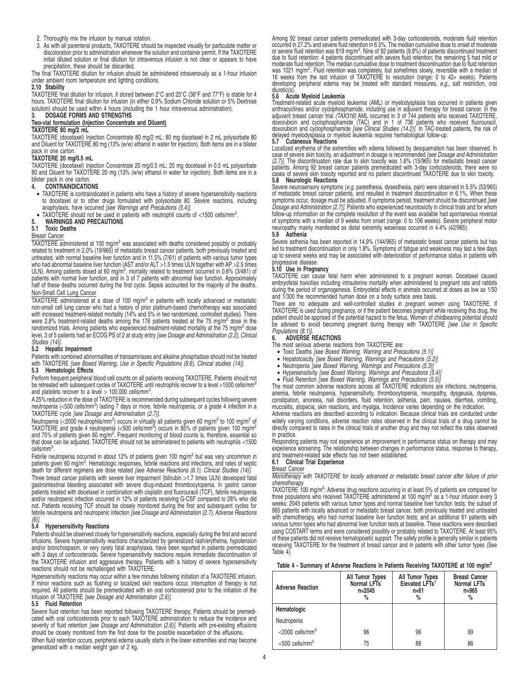- 2. Thoroughly mix the infusion by manual rotation.
- 3. As with all parenteral products, TAXOTERE should be inspected visually for particulate matter or discoloration prior to administration whenever the solution and container permit. If the TAXOTERE initial diluted solution or final dilution for intravenous infusion is not clear or appears to have precipitation, these should be discarded.

The final TAXOTERE dilution for infusion should be administered intravenously as a 1-hour infusion under ambient room temperature and lighting conditions.

# **2.10 Stability**

TAXOTERE final dilution for infusion, if stored between 2°C and 25°C (36°F and 77°F) is stable for 4<br>hours. TAXOTERE final dilution for infusion (in either 0.9% Sodium Chloride solution or 5% Dextrose<br>solution) should be u **3. DOSAGE FORMS AND STRENGTHS**

# **Two-vial formulation (Injection Concentrate and Diluent)**

#### **TAXOTERE 80 mg/2 mL**

TAXOTERE (docetaxel) Injection Concentrate 80 mg/2 mL: 80 mg docetaxel in 2 mL polysorbate 80 and Diluent for TAXOTERE 80 mg (13% (w/w) ethanol in water for injection). Both items are in a blister pack in one carton.

# **TAXOTERE 20 mg/0.5 mL**

TAXOTERE (docetaxel) Injection Concentrate 20 mg/0.5 mL: 20 mg docetaxel in 0.5 mL polysorbate 80 and Diluent for TAXOTERE 20 mg (13% (w/w) ethanol in water for injection). Both items are in a blister pack in one carton.<br>4. **CONTRAINDICATIC** 

#### **4. CONTRAINDICATIONS**

• TAXOTERE is contraindicated in patients who have a history of severe hypersensitivity reactions to docetaxel or to other drugs formulated with polysorbate 80. Severe reactions, including anaphylaxis, have occurred [see Warnings and Precautions (5.4)].

 $\bullet$  TAXOTERE should not be used in patients with neutrophil counts of <1500 cells/mm<sup>3</sup>.

# **5. WARNINGS AND PRECAUTIONS**

### **5.1 Toxic Deaths**

# Breast Cancer

 $TAXOTERE$  administered at 100 mg/m<sup>2</sup> was associated with deaths considered possibly or probably related to treatment in 2.0% (19/965) of metastatic breast cancer patients, both previously treated and untreated, with normal baseline liver function and in 11.5% (7/61) of patients with various tumor types who had abnormal baseline liver function (AST and/or ALT >1.5 times ULN together with AP >2.5 times<br>ULN). Among patients dosed at 60 mg/m², mortality related to treatment occurred in 0.6% (3/481) of<br>patients with normal li half of these deaths occurred during the first cycle. Sepsis accounted for the majority of the deaths. Non-Small Cell Lung Cancer

TAXOTERE administered at a dose of 100 mg/m<sup>2</sup> in patients with locally advanced or metastatic non-small cell lung cancer who had a history of prior platinum-based chemotherapy was associated with increased treatment-related mortality (14% and 5% in two randomized, controlled studies). There were 2.8% treatment-related deaths among the 176 patients treated at the 75 mg/m<sup>2</sup> dose in the randomized trials. Among patients who experienced treatment-related mortality at the 75 mg/m<sup>2</sup> dose level, 3 of 5 patients had an ECOG PS of 2 at study entry [see Dosage and Administration (2.2), Clinical Studies (14)

### **5.2 Hepatic Impairment**

Patients with combined abnormalities of transaminases and alkaline phosphatase should not be treated with TAXOTERE [see Boxed Warning, Use in Specific Populations (8.6), Clinical studies (14)].

#### **5.3 Hematologic Effects**

Perform frequent peripheral blood cell counts on all patients receiving TAXOTERE. Patients should not be retreated with subsequent cycles of TAXOTERE until neutrophils recover to a level >1500 cells/mm and platelets recover to a level  $>$  100,000 cells/mm<sup>3</sup>.

A 25% reduction in the dose of TAXOTERE is recommended during subsequent cycles following severe<br>neutropenia (<500 cells/mm<sup>3</sup>) lasting 7 days or more, febrile neutropenia, or a grade 4 infection in a<br>TAXOTERE cycle *[see* 

Neutropenia (<2000 neutrophils/mm<sup>3</sup>) occurs in virtually all patients given 60 mg/m<sup>2</sup> to 100 mg/m<sup>2</sup> of<br>TAXOTERE and grade 4 neutropenia (<500 cells/mm<sup>3</sup>) occurs in 85% of patients given 100 mg/m<sup>2</sup><br>and 75% of patients that dose can be adjusted. TAXOTERE should not be administered to patients with neutrophils <1500 cells/mm<sup>3</sup>

cells/mm<sup>s</sup>.<br>Febrile neutropenia occurred in about 12% of patients given 100 mg/m<sup>2</sup> but was very uncommon in<br>patients given 60 mg/m<sup>2</sup>. Hematologic responses, febrile reactions and infections, and rates of septic death for different regimens are dose related [see Adverse Reactions (6.1), Clinical Studies (14)]. Three breast cancer patients with severe liver impairment (bilirubin >1.7 times ULN) developed fatal gastrointestinal bleeding associated with severe drug-induced thrombocytopenia. In gastric cancer patients treated with docetaxel in combination with cisplatin and fluorouracil (TCF), febrile neutropenia and/or neutropenic infection occurred in 12% of patients receiving G-CSF compared to 28% who did not. Patients receiving TCF should be closely monitored during the first and subsequent cycles for febrile neutropenia and neutropenic infection [see Dosage and Administration (2.7), Adverse Reactions

#### $(6)$ ].<br>5.4 **5.4 Hypersensitivity Reactions**

Patients should be observed closely for hypersensitivity reactions, especially during the first and second infusions. Severe hypersensitivity reactions characterized by generalized rash/erythema, hypotension and/or bronchospasm, or very rarely fatal anaphylaxis, have been reported in patients premedicated<br>with 3 days of corticosteroids. Severe hypersensitivity reactions require immediate discontinuation of<br>the TAXOTERE infusio reactions should not be rechallenged with TAXOTERE.

Hypersensitivity reactions may occur within a few minutes following initiation of a TAXOTERE infusion. If minor reactions such as flushing or localized skin reactions occur, interruption of therapy is not required. All patients should be premedicated with an oral corticosteroid prior to the initiation of the infusion of TAXOTERE [see Dosage and Administration (2.6)].

#### **5.5 Fluid Retention**

Severe fluid retention has been reported following TAXOTERE therapy. Patients should be premedicated with oral corticosteroids prior to each TAXOTERE administration to reduce the incidence and<br>severity of fluid retention *[see Dosage and Administration (2.6)].* Patients with pre-existing effusions should be closely monitored from the first dose for the possible exacerbation of the effusions. When fluid retention occurs, peripheral edema usually starts in the lower extremities and may become

generalized with a median weight gain of 2 kg.

Among 92 breast cancer patients premedicated with 3-day corticosteroids, moderate fluid retention occurred in 27.2% and severe fluid retention in 6.5%. The median cumulative dose to onset of moderate<br>or severe fluid retention was 819 mg/m<sup>2</sup>. Nine of 92 patients (9.8%) of patients discontinued treatment<br>due to fluid re was 1021 mg/m<sup>2</sup>. Fluid retention was completely, but sometimes slowly, reversible with a median of<br>16 weeks from the last infusion of TAXOTERE to resolution (range: 0 to 42+ weeks). Patients developing peripheral edema may be treated with standard measures, e.g., salt restriction, oral diuretic(s).

#### **5.6 Acute Myeloid Leukemia**

Treatment-related acute myeloid leukemia (AML) or myelodysplasia has occurred in patients given anthracyclines and/or cyclophosphamide, including use in adjuvant therapy for breast cancer. In the<br>adjuvant breast cancer trial (TAX316) AML occurred in 3 of 744 patients who received TAXOTERE,<br>doxorubicin and cyclophosph

#### **5.7 Cutaneous Reactions**

Localized erythema of the extremities with edema followed by desquamation has been observed. In case of severe skin toxicity, an adjustment in dosage is recommended [see Dosage and Administration (2.7)]. The discontinuation rate due to skin toxicify was 1.6% (15/965) for metastatic breast cancer<br>patients. Among 92 breast cancer patients premedicated with 3-day corticosteroids, there were no<br>cases of severe skin tox **5.8 Neurologic Reactions**

Severe neurosensory symptoms (e.g. paresthesia, dysesthesia, pain) were observed in 5.5% (53/965) of metastatic breast cancer patients, and resulted in treatment discontinuation in 6.1%. When these symptoms occur, dosage must be adjusted. If symptoms persist, treatment should be discontinued [see Dosage and Administration (2.7)]. Patients who experienced neurotoxicity in clinical trials and for whom follow-up information on the complete resolution of the event was available had spontaneous reversal of symptoms with a median of 9 weeks from onset (range: 0 to 106 weeks). Severe peripheral motor neuropathy mainly manifested as distal extremity weakness occurred in 4.4% (42/965).

#### **5.9 Asthenia**

Severe asthenia has been reported in 14.9% (144/965) of metastatic breast cancer patients but has led to treatment discontinuation in only 1.8%. Symptoms of fatigue and weakness may last a few days up to several weeks and may be associated with deterioration of performance status in patients with

# progressive disease. **5.10 Use in Pregnancy**

TAXOTERE can cause fetal harm when administered to a pregnant woman. Docetaxel caused embryofetal toxicities including intrauterine mortality when administered to pregnant rats and rabbits during the period of organogenesis. Embryofetal effects in animals occurred at doses as low as 1/50 and 1/300 the recommended human dose on a body surface area basis.

There are no adequate and well-controlled studies in pregnant women using TAXOTERE. If TAXOTERE is used during pregnancy, or if the patient becomes pregnant while receiving this drug, the patient should be apprised of the potential hazard to the fetus. Women of childbearing potential should be advised to avoid becoming pregnant during therapy with TAXOTERE [see Use in Specific Populations (8.1)]**.**

#### **6. ADVERSE REACTIONS**

The most serious adverse reactions from TAXOTERE are:

- Toxic Deaths [see Boxed Warning, Warning and Precautions (5.1)]
- 
- Hepatotoxicity [see Boxed Warning, Warnings and Precautions (5.2)] Neutropenia [see Boxed Warning, Warnings and Precautions (5.3)]
- 
- 

Hypersensitivity [see Boxed Warning, Warnings and Precautions (5.4)]<br>Fluid Retention [see Boxed Warning, Warnings and Precautions (5.5)]<br>The most common adverse reactions across all TAXOTERE indications are infections, neu anemia, febrile neutropenia, hypersensitivity, thrombocytopenia, neuropathy, dysgeusia, dyspnea, constipation, anorexia, nail disorders, fluid retention, asthenia, pain, nausea, diarrhea, vomiting, mucositis, alopecia, skin reactions, and myalgia. Incidence varies depending on the indication.

Adverse reactions are described according to indication. Because clinical trials are conducted under widely varying conditions, adverse reaction rates observed in the clinical trials of a drug cannot be directly compared to rates in the clinical trials of another drug and may not reflect the rates observed in practice.

Responding patients may not experience an improvement in performance status on therapy and may experience worsening. The relationship between changes in performance status, response to therapy, and treatment-related side effects has not been established.

# **6.1 Clinical Trial Experience**

Breast Cancer

Monotherapy with TAXOTERE for locally advanced or metastatic breast cancer after failure of prior chemotherap

TAXOTERE 100 mg/m<sup>2</sup>: Adverse drug reactions occurring in at least 5% of patients are compared for<br>three populations who received TAXOTERE administered at 100 mg/m<sup>2</sup> as a 1-hour infusion every 3 weeks: 2045 patients with various tumor types and normal baseline liver function tests; the subset of 965 patients with locally advanced or metastatic breast cancer, both previously treated and untreated with chemotherapy, who had normal baseline liver function tests; and an additional 61 patients with various tumor types who had abnormal liver function tests at baseline. These reactions were described using COSTART terms and were considered possibly or probably related to TAXOTERE. At least 95% of these patients did not receive hematopoietic support. The safety profile is generally similar in patients receiving TAXOTERE for the treatment of breast cancer and in patients with other tumor types (See Table 4).

#### **Table 4 - Summary of Adverse Reactions in Patients Receiving TAXOTERE at 100 mg/m<sup>2</sup>**

| <b>Adverse Reaction</b>        | All Tumor Types<br>Normal LFTs<br>$n = 2045$ | All Tumor Types<br>Elevated LFTs <sup>+</sup><br>n=61<br>% | <b>Breast Cancer</b><br>Normal LFTs<br>$n = 965$<br>% |
|--------------------------------|----------------------------------------------|------------------------------------------------------------|-------------------------------------------------------|
| Hematologic                    |                                              |                                                            |                                                       |
| Neutropenia                    |                                              |                                                            |                                                       |
| $<$ 2000 cells/mm <sup>3</sup> | 96                                           | 96                                                         | 99                                                    |
| $<$ 500 cells/mm <sup>3</sup>  | 75                                           | 88                                                         | 86                                                    |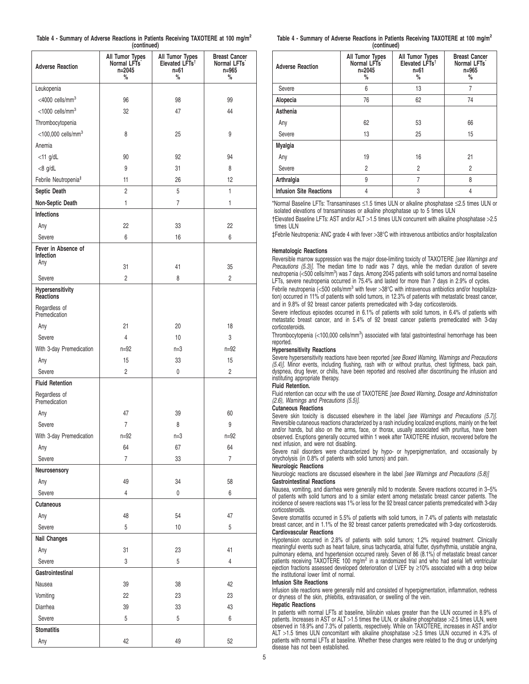| Table 4 - Summary of Adverse Reactions in Patients Receiving TAXOTERE at 100 mg/m <sup>2</sup> |             |  |  |
|------------------------------------------------------------------------------------------------|-------------|--|--|
|                                                                                                | (continued) |  |  |

| <b>Adverse Reaction</b>           | All Tumor Types<br>Normal LFTs <sup>*</sup><br>n=2045<br>% | All Tumor Types<br>Elevated LFTs <sup>t</sup><br>n=61<br>% | <b>Breast Cancer</b><br>Normal LFTs <sup>*</sup><br>n=965<br>% |
|-----------------------------------|------------------------------------------------------------|------------------------------------------------------------|----------------------------------------------------------------|
| Leukopenia                        |                                                            |                                                            |                                                                |
| <4000 cells/mm <sup>3</sup>       | 96                                                         | 98                                                         | 99                                                             |
| $<$ 1000 cells/mm <sup>3</sup>    | 32                                                         | 47                                                         | 44                                                             |
| Thrombocytopenia                  |                                                            |                                                            |                                                                |
| $<$ 100,000 cells/mm <sup>3</sup> | 8                                                          | 25                                                         | 9                                                              |
| Anemia                            |                                                            |                                                            |                                                                |
| $<$ 11 g/dL                       | 90                                                         | 92                                                         | 94                                                             |
| $<8$ g/dL                         | 9                                                          | 31                                                         | 8                                                              |
| Febrile Neutropenia <sup>#</sup>  | 11                                                         | 26                                                         | 12                                                             |
| Septic Death                      | $\overline{2}$                                             | 5                                                          | 1                                                              |
| Non-Septic Death                  | 1                                                          | 7                                                          | 1                                                              |
| <b>Infections</b>                 |                                                            |                                                            |                                                                |
| Any                               | 22                                                         | 33                                                         | 22                                                             |
| Severe                            | 6                                                          | 16                                                         | 6                                                              |
| Fever in Absence of<br>Infection  |                                                            |                                                            |                                                                |
| Any                               | 31                                                         | 41                                                         | 35                                                             |
| Severe                            | 2                                                          | 8                                                          | 2                                                              |
| Hypersensitivity<br>Reactions     |                                                            |                                                            |                                                                |
| Regardless of<br>Premedication    |                                                            |                                                            |                                                                |
| Any                               | 21                                                         | 20                                                         | 18                                                             |
| Severe                            | $\overline{4}$                                             | 10                                                         | 3                                                              |
| With 3-day Premedication          | $n = 92$                                                   | $n=3$                                                      | $n = 92$                                                       |
| Any                               | 15                                                         | 33                                                         | 15                                                             |
| Severe                            | $\overline{c}$                                             | 0                                                          | $\overline{c}$                                                 |
| <b>Fluid Retention</b>            |                                                            |                                                            |                                                                |
| Regardless of<br>Premedication    |                                                            |                                                            |                                                                |
| Any                               | 47                                                         | 39                                                         | 60                                                             |
| Severe                            | $\overline{7}$                                             | 8                                                          | 9                                                              |
| With 3-day Premedication          | $n=92$                                                     | $n=3$                                                      | $n=92$                                                         |
| Any                               | 64                                                         | 67                                                         | 64                                                             |
| Severe                            | $\overline{7}$                                             | 33                                                         | $\overline{7}$                                                 |
| Neurosensory                      |                                                            |                                                            |                                                                |
| Any                               | 49                                                         | 34                                                         | 58                                                             |
| Severe                            | $\overline{4}$                                             | 0                                                          | 6                                                              |
| <b>Cutaneous</b>                  |                                                            |                                                            |                                                                |
| Any                               | 48                                                         | 54                                                         | 47                                                             |
| Severe                            | 5                                                          | $10$                                                       | 5                                                              |
| <b>Nail Changes</b>               |                                                            |                                                            |                                                                |
| Any                               | 31                                                         | 23                                                         | 41                                                             |
| Severe                            | 3                                                          | 5                                                          | 4                                                              |
| Gastrointestinal                  |                                                            |                                                            |                                                                |
| Nausea                            | 39                                                         | 38                                                         | 42                                                             |
| Vomiting                          | 22                                                         | 23                                                         | 23                                                             |
| Diarrhea                          | 39                                                         | 33                                                         | 43                                                             |
| Severe                            | 5                                                          | 5                                                          | 6                                                              |
| <b>Stomatitis</b>                 |                                                            |                                                            |                                                                |
| Any                               | 42                                                         | 49                                                         | 52                                                             |

| Table 4 - Summary of Adverse Reactions in Patients Receiving TAXOTERE at 100 mg/m <sup>2</sup> |             |  |  |
|------------------------------------------------------------------------------------------------|-------------|--|--|
|                                                                                                | (continued) |  |  |

| <b>Adverse Reaction</b>        | All Tumor Types<br>Normal LFTs<br>$n = 2045$<br>% | All Tumor Types<br>Elevated LFTs <sup>t</sup><br>n=61<br>% | <b>Breast Cancer</b><br>Normal LFTs <sup>*</sup><br>$n = 965$<br>% |
|--------------------------------|---------------------------------------------------|------------------------------------------------------------|--------------------------------------------------------------------|
| Severe                         | 6                                                 | 13                                                         | $\overline{7}$                                                     |
| Alopecia                       | 76                                                | 62                                                         | 74                                                                 |
| Asthenia                       |                                                   |                                                            |                                                                    |
| Any                            | 62                                                | 53                                                         | 66                                                                 |
| Severe                         | 13                                                | 25                                                         | 15                                                                 |
| <b>Myalgia</b>                 |                                                   |                                                            |                                                                    |
| Any                            | 19                                                | 16                                                         | 21                                                                 |
| Severe                         | $\overline{c}$                                    | $\overline{2}$                                             | $\overline{2}$                                                     |
| Arthralgia                     | 9                                                 | 7                                                          | 8                                                                  |
| <b>Infusion Site Reactions</b> | 4                                                 | 3                                                          | 4                                                                  |

\*Normal Baseline LFTs: Transaminases ≤1.5 times ULN or alkaline phosphatase ≤2.5 times ULN or isolated elevations of transaminases or alkaline phosphatase up to 5 times ULN

†Elevated Baseline LFTs: AST and/or ALT >1.5 times ULN concurrent with alkaline phosphatase >2.5 times ULN

‡Febrile Neutropenia: ANC grade 4 with fever >38°C with intravenous antibiotics and/or hospitalization

# **Hematologic Reactions**

Reversible marrow suppression was the major dose-limiting toxicity of TAXOTERE [see Warnings and Precautions (5.3)]. The median time to nadir was 7 days, while the median duration of severe neutropenia (<500 cells/mm<sup>3</sup>) was 7 days. Among 2045 patients with solid tumors and normal baseline LFTs, severe neutropenia occurred in 75.4% and lasted for more than 7 days in 2.9% of cycles.

Febrile neutropenia (<500 cells/mm<sup>3</sup> with fever >38°C with intravenous antibiotics and/or hospitalization) occurred in 11% of patients with solid tumors, in 12.3% of patients with metastatic breast cancer, and in 9.8% of 92 breast cancer patients premedicated with 3-day corticosteroids.

Severe infectious episodes occurred in 6.1% of patients with solid tumors, in 6.4% of patients with metastatic breast cancer, and in 5.4% of 92 breast cancer patients premedicated with 3-day corticosteroids.

Thrombocytopenia (<100,000 cells/mm<sup>3</sup>) associated with fatal gastrointestinal hemorrhage has been reported.

### **Hypersensitivity Reactions**

Severe hypersensitivity reactions have been reported [see Boxed Warning, Warnings and Precautions (5.4)]. Minor events, including flushing, rash with or without pruritus, chest tightness, back pain, dyspnea, drug fever, or chills, have been reported and resolved after discontinuing the infusion and instituting appropriate therapy.

## **Fluid Retention.**

Fluid retention can occur with the use of TAXOTERE [see Boxed Warning, Dosage and Administration (2.6), Warnings and Precautions (5.5)].

# **Cutaneous Reactions**

Severe skin toxicity is discussed elsewhere in the label [see Warnings and Precautions (5.7)]. Reversible cutaneous reactions characterized by a rash including localized eruptions, mainly on the feet and/or hands, but also on the arms, face, or thorax, usually associated with pruritus, have been observed. Eruptions generally occurred within 1 week after TAXOTERE infusion, recovered before the next infusion, and were not disabling.

Severe nail disorders were characterized by hypo- or hyperpigmentation, and occasionally by onycholysis (in 0.8% of patients with solid tumors) and pain.

# **Neurologic Reactions**

Neurologic reactions are discussed elsewhere in the label [see Warnings and Precautions (5.8)] **Gastrointestinal Reactions**

Nausea, vomiting, and diarrhea were generally mild to moderate. Severe reactions occurred in 3–5% of patients with solid tumors and to a similar extent among metastatic breast cancer patients. The incidence of severe reactions was 1% or less for the 92 breast cancer patients premedicated with 3-day corticosteroids.

Severe stomatitis occurred in 5.5% of patients with solid tumors, in 7.4% of patients with metastatic breast cancer, and in 1.1% of the 92 breast cancer patients premedicated with 3-day corticosteroids. **Cardiovascular Reactions**

Hypotension occurred in 2.8% of patients with solid tumors; 1.2% required treatment. Clinically meaningful events such as heart failure, sinus tachycardia, atrial flutter, dysrhythmia, unstable angina, pulmonary edema, and hypertension occurred rarely. Seven of 86 (8.1%) of metastatic breast cancer patients receiving TAXOTERE 100 mg/m<sup>2</sup> in a randomized trial and who had serial left ventricular ejection fractions assessed developed deterioration of LVEF by ≥10% associated with a drop below the institutional lower limit of normal.

### **Infusion Site Reactions**

Infusion site reactions were generally mild and consisted of hyperpigmentation, inflammation, redness or dryness of the skin, phlebitis, extravasation, or swelling of the vein.

# **Hepatic Reactions**

In patients with normal LFTs at baseline, bilirubin values greater than the ULN occurred in 8.9% of patients. Increases in AST or ALT >1.5 times the ULN, or alkaline phosphatase >2.5 times ULN, were observed in 18.9% and 7.3% of patients, respectively. While on TAXOTERE, increases in AST and/or ALT >1.5 times ULN concomitant with alkaline phosphatase >2.5 times ULN occurred in 4.3% of patients with normal LFTs at baseline. Whether these changes were related to the drug or underlying disease has not been established.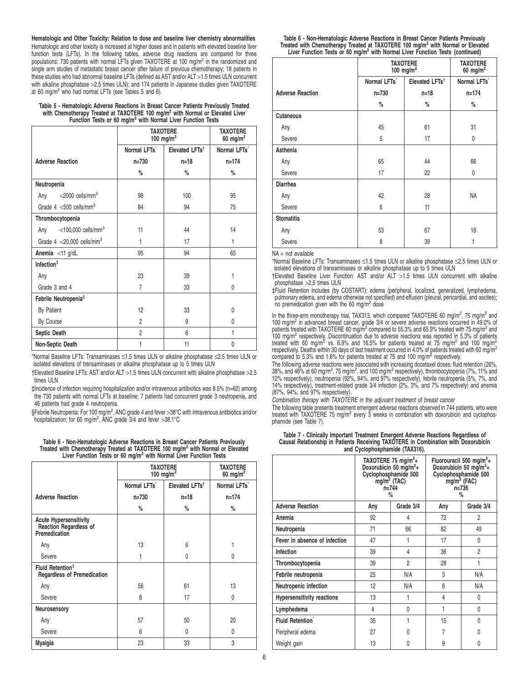**Hematologic and Other Toxicity: Relation to dose and baseline liver chemistry abnormalities** Hematologic and other toxicity is increased at higher doses and in patients with elevated baseline liver function tests (LFTs). In the following tables, adverse drug reactions are compared for three populations: 730 patients with normal LFTs given TAXOTERE at 100 mg/m<sup>2</sup> in the randomized and single arm studies of metastatic breast cancer after failure of previous chemotherapy; 18 patients in these studies who had abnormal baseline LFTs (defined as AST and/or ALT >1.5 times ULN concurrent with alkaline phosphatase >2.5 times ULN); and 174 patients in Japanese studies given TAXOTERE at 60 mg/m<sup>2</sup> who had normal LFTs (see Tables 5 and 6).

**Table 5 - Hematologic Adverse Reactions in Breast Cancer Patients Previously Treated with Chemotherapy Treated at TAXOTERE 100 mg/m<sup>2</sup> with Normal or Elevated Liver Function Tests or 60 mg/m<sup>2</sup> with Normal Liver Function Tests**

|                                          | <b>TAXOTERE</b><br>100 mg/m <sup>2</sup> | <b>TAXOTERE</b><br>60 mg/m <sup>2</sup> |                          |
|------------------------------------------|------------------------------------------|-----------------------------------------|--------------------------|
|                                          | Normal LFTs                              | Elevated LFTs <sup>†</sup>              | Normal LFTs <sup>*</sup> |
| <b>Adverse Reaction</b>                  | $n = 730$                                | $n = 18$                                | $n = 174$                |
|                                          | %                                        | $\%$                                    | %                        |
| Neutropenia                              |                                          |                                         |                          |
| $<$ 2000 cells/mm $3$<br>Any             | 98                                       | 100                                     | 95                       |
| Grade $4 < 500$ cells/mm <sup>3</sup>    | 84                                       | 94                                      | 75                       |
| Thrombocytopenia                         |                                          |                                         |                          |
| Any $<$ 100,000 cells/mm <sup>3</sup>    | 11                                       | 44                                      | 14                       |
| Grade $4 < 20,000$ cells/mm <sup>3</sup> | 1                                        | 17                                      | 1                        |
| Anemia <11 g/dL                          | 95                                       | 94                                      | 65                       |
| Infection $†$                            |                                          |                                         |                          |
| Any                                      | 23                                       | 39                                      | 1                        |
| Grade 3 and 4                            | $\overline{7}$                           | 33                                      | 0                        |
| Febrile Neutropenia <sup>§</sup>         |                                          |                                         |                          |
| By Patient                               | 12                                       | 33                                      | 0                        |
| By Course                                | 2                                        | 9                                       | $\Omega$                 |
| Septic Death                             | $\overline{c}$                           | 6                                       | 1                        |
| Non-Septic Death                         | 1                                        | 11                                      | 0                        |

\*Normal Baseline LFTs: Transaminases ≤1.5 times ULN or alkaline phosphatase ≤2.5 times ULN or isolated elevations of transaminases or alkaline phosphatase up to 5 times ULN

†Elevated Baseline LFTs: AST and/or ALT >1.5 times ULN concurrent with alkaline phosphatase >2.5 times ULN

‡Incidence of infection requiring hospitalization and/or intravenous antibiotics was 8.5% (n=62) among the 730 patients with normal LFTs at baseline; 7 patients had concurrent grade 3 neutropenia, and 46 patients had grade 4 neutropenia.

§Febrile Neutropenia: For 100 mg/m<sup>2</sup>, ANC grade 4 and fever >38°C with intravenous antibiotics and/or hospitalization; for 60 mg/m<sup>2</sup>, ANC grade  $3/4$  and fever >38.1°C

| Table 6 - Non-Hematologic Adverse Reactions in Breast Cancer Patients Previously            |  |
|---------------------------------------------------------------------------------------------|--|
| Treated with Chemotherapy Treated at TAXOTERE 100 mg/m <sup>2</sup> with Normal or Elevated |  |
| Liver Function Tests or 60 mg/m <sup>2</sup> with Normal Liver Function Tests               |  |

|                                                                          | <b>TAXOTERE</b><br>100 mg/m <sup>2</sup> | <b>TAXOTERE</b><br>60 mg/m <sup>2</sup> |             |
|--------------------------------------------------------------------------|------------------------------------------|-----------------------------------------|-------------|
|                                                                          | Normal LFTs                              | Elevated LFTs <sup>+</sup>              | Normal LFTs |
| <b>Adverse Reaction</b>                                                  | $n = 730$                                | $n = 18$                                | $n = 174$   |
|                                                                          | %                                        | $\%$                                    | %           |
| <b>Acute Hypersensitivity</b><br>Reaction Regardless of<br>Premedication |                                          |                                         |             |
| Any                                                                      | 13                                       | 6                                       |             |
| Severe                                                                   | 1                                        | $\Omega$                                | 0           |
| Fluid Retention <sup>‡</sup><br><b>Regardless of Premedication</b>       |                                          |                                         |             |
| Any                                                                      | 56                                       | 61                                      | 13          |
| Severe                                                                   | 8                                        | 17                                      | 0           |
| Neurosensory                                                             |                                          |                                         |             |
| Any                                                                      | 57                                       | 50                                      | 20          |
| Severe                                                                   | 6                                        | 0                                       | 0           |
| Myalgia                                                                  | 23                                       | 33                                      | 3           |

| Table 6 - Non-Hematologic Adverse Reactions in Breast Cancer Patients Previously            |  |
|---------------------------------------------------------------------------------------------|--|
| Treated with Chemotherapy Treated at TAXOTERE 100 mg/m <sup>2</sup> with Normal or Elevated |  |
| Liver Function Tests or 60 mg/m <sup>2</sup> with Normal Liver Function Tests (continued)   |  |

|                         | <b>TAXOTERE</b><br>100 mg/m <sup>2</sup> |                            | <b>TAXOTERE</b><br>60 mg/m <sup>2</sup> |
|-------------------------|------------------------------------------|----------------------------|-----------------------------------------|
|                         | Normal LFTs <sup>*</sup>                 | Elevated LFTs <sup>+</sup> | Normal LFTs <sup>*</sup>                |
| <b>Adverse Reaction</b> | $n = 730$                                | $n = 18$                   | $n = 174$                               |
|                         | %                                        | $\%$                       | %                                       |
| <b>Cutaneous</b>        |                                          |                            |                                         |
| Any                     | 45                                       | 61                         | 31                                      |
| Severe                  | 5                                        | 17                         | 0                                       |
| Asthenia                |                                          |                            |                                         |
| Any                     | 65                                       | 44                         | 66                                      |
| Severe                  | 17                                       | 22                         | 0                                       |
| <b>Diarrhea</b>         |                                          |                            |                                         |
| Any                     | 42                                       | 28                         | <b>NA</b>                               |
| Severe                  | 6                                        | 11                         |                                         |
| <b>Stomatitis</b>       |                                          |                            |                                         |
| Any                     | 53                                       | 67                         | 19                                      |
| Severe                  | 8                                        | 39                         | 1                                       |

#### NA = not available

\*Normal Baseline LFTs: Transaminases ≤1.5 times ULN or alkaline phosphatase ≤2.5 times ULN or isolated elevations of transaminases or alkaline phosphatase up to 5 times ULN

†Elevated Baseline Liver Function: AST and/or ALT >1.5 times ULN concurrent with alkaline phosphatase >2.5 times ULN

‡Fluid Retention includes (by COSTART): edema (peripheral, localized, generalized, lymphedema, pulmonary edema, and edema otherwise not specified) and effusion (pleural, pericardial, and ascites);<br>no premedication given with the 60 mg/m<sup>2</sup> dose

In the three-arm monotherapy trial, TAX313, which compared TAXOTERE 60 mg/m<sup>2</sup>, 75 mg/m<sup>2</sup> and<br>100 mg/m<sup>2</sup> in advanced breast cancer, grade 3/4 or severe adverse reactions occurred in 49.0% of patients treated with TAXOTERE 60 mg/m<sup>2</sup> compared to 55.3% and 65.9% treated with 75 mg/m<sup>2</sup> and 100 mg/m<sup>2</sup> respectively. Discontinuation due to adverse reactions was reported in 5.3% of patients<br>treated with 60 mg/m<sup>2</sup> vs. 6.9% and 16.5% for patients treated at 75 mg/m<sup>2</sup> and 100 mg/m<sup>2</sup> respectively. Deaths within 30 days of last treatment occurred in 4.0% of patients treated with 60 mg/m<sup>2</sup> compared to 5.3% and 1.6% for patients treated at 75 and 100 mg/m<sup>2</sup> respectively.

The following adverse reactions were associated with increasing docetaxel doses: fluid retention (26%, 38%, and 46% at 60 mg/m<sup>2</sup>, 75 mg/m<sup>2</sup>, and 100 mg/m<sup>2</sup> respectively), thrombocytopenia (7%, 11% and 12% respectively), neutropenia (92%, 94%, and 97% respectively), febrile neutropenia (5%, 7%, and 14% respectively), treatment-related grade 3/4 infection (2%, 3%, and 7% respectively) and anemia  $(87\%$ ,  $94\%$ , and  $97\%$  respectively).

Combination therapy with TAXOTERE in the adjuvant treatment of breast cancer

The following table presents treatment emergent adverse reactions observed in 744 patients, who were treated with TAXOTERE 75 mg/m<sup>2</sup> every 3 weeks in combination with doxorubicin and cyclophosphamide (see Table 7).

| Table 7 - Clinically Important Treatment Emergent Adverse Reactions Regardless of  |
|------------------------------------------------------------------------------------|
| Causal Relationship in Patients Receiving TAXOTERE in Combination with Doxorubicin |
| and Cyclophosphamide (TAX316).                                                     |

|                                   | TAXOTERE 75 mg/m <sup>2</sup> +<br>Doxorubicin 50 mg/m <sup>2</sup> +<br>Cyclophosphamide 500<br>mg/m <sup>2</sup> (TAC)<br>$n = 744$<br>% |           |     | Fluorouracil 500 mg/m <sup>2</sup> +<br>Doxorubicin 50 mg/m <sup>2</sup> +<br>Cyclophosphamide 500<br>$mg/m2$ (FAC)<br>n=736<br>% |
|-----------------------------------|--------------------------------------------------------------------------------------------------------------------------------------------|-----------|-----|-----------------------------------------------------------------------------------------------------------------------------------|
| <b>Adverse Reaction</b>           | Any                                                                                                                                        | Grade 3/4 | Any | Grade 3/4                                                                                                                         |
| Anemia                            | 92                                                                                                                                         | 4         | 72  | 2                                                                                                                                 |
| Neutropenia                       | 71                                                                                                                                         | 66        | 82  | 49                                                                                                                                |
| Fever in absence of infection     | 47                                                                                                                                         | 1         | 17  | 0                                                                                                                                 |
| Infection                         | 39                                                                                                                                         | 4         | 36  | $\overline{2}$                                                                                                                    |
| Thrombocytopenia                  | 39                                                                                                                                         | 2         | 28  | 1                                                                                                                                 |
| Febrile neutropenia               | 25                                                                                                                                         | N/A       | 3   | N/A                                                                                                                               |
| Neutropenic infection             | 12                                                                                                                                         | N/A       | 6   | N/A                                                                                                                               |
| <b>Hypersensitivity reactions</b> | 13                                                                                                                                         | 1         | 4   | 0                                                                                                                                 |
| Lymphedema                        | 4                                                                                                                                          | 0         | 1   | 0                                                                                                                                 |
| <b>Fluid Retention</b>            | 35                                                                                                                                         | 1         | 15  | 0                                                                                                                                 |
| Peripheral edema                  | 27                                                                                                                                         | 0         | 7   | 0                                                                                                                                 |
| Weight gain                       | 13                                                                                                                                         | 0         | 9   | 0                                                                                                                                 |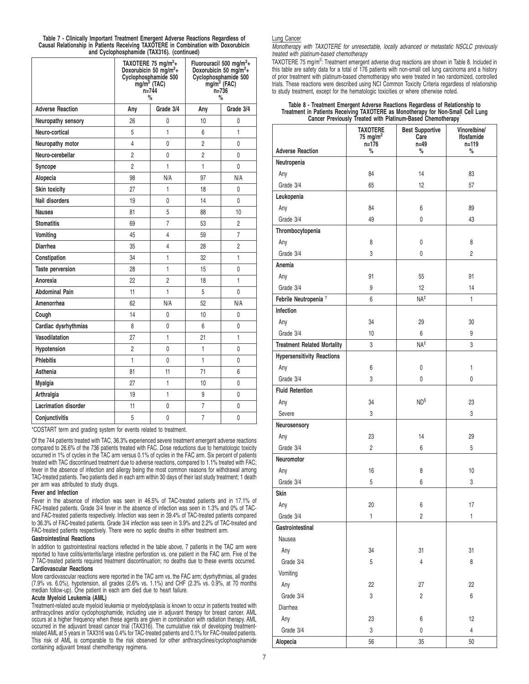**Table 7 - Clinically Important Treatment Emergent Adverse Reactions Regardless of Causal Relationship in Patients Receiving TAXOTERE in Combination with Doxorubicin and Cyclophosphamide (TAX316). (continued)**

|                             | TAXOTERE 75 mg/m <sup>2</sup> +<br>Doxorubicin 50 mg/m <sup>2</sup> +<br>Cyclophosphamide 500<br>$mg/m2$ (TAC)<br>$n = 744$<br>% |                | Fluorouracil 500 mg/m <sup>2</sup> +<br>Doxorubicin 50 mg/m <sup>2</sup> +<br>Cyclophosphamide 500<br>$mg/m2$ (FAC)<br>$n = 736$<br>$\%$ |                |
|-----------------------------|----------------------------------------------------------------------------------------------------------------------------------|----------------|------------------------------------------------------------------------------------------------------------------------------------------|----------------|
| <b>Adverse Reaction</b>     | Any                                                                                                                              | Grade 3/4      | Any                                                                                                                                      | Grade 3/4      |
| Neuropathy sensory          | 26                                                                                                                               | 0              | 10                                                                                                                                       | 0              |
| Neuro-cortical              | 5                                                                                                                                | 1              | 6                                                                                                                                        | 1              |
| Neuropathy motor            | 4                                                                                                                                | 0              | $\overline{c}$                                                                                                                           | 0              |
| Neuro-cerebellar            | $\overline{2}$                                                                                                                   | 0              | 2                                                                                                                                        | 0              |
| Syncope                     | $\overline{2}$                                                                                                                   | 1              | 1                                                                                                                                        | 0              |
| Alopecia                    | 98                                                                                                                               | N/A            | 97                                                                                                                                       | N/A            |
| Skin toxicity               | 27                                                                                                                               | 1              | 18                                                                                                                                       | 0              |
| Nail disorders              | 19                                                                                                                               | 0              | 14                                                                                                                                       | 0              |
| Nausea                      | 81                                                                                                                               | 5              | 88                                                                                                                                       | 10             |
| <b>Stomatitis</b>           | 69                                                                                                                               | $\overline{7}$ | 53                                                                                                                                       | 2              |
| Vomiting                    | 45                                                                                                                               | 4              | 59                                                                                                                                       | 7              |
| <b>Diarrhea</b>             | 35                                                                                                                               | 4              | 28                                                                                                                                       | $\overline{2}$ |
| Constipation                | 34                                                                                                                               | 1              | 32                                                                                                                                       | 1              |
| Taste perversion            | 28                                                                                                                               | 1              | 15                                                                                                                                       | 0              |
| Anorexia                    | 22                                                                                                                               | $\overline{2}$ | 18                                                                                                                                       | 1              |
| <b>Abdominal Pain</b>       | 11                                                                                                                               | $\mathbf{1}$   | 5                                                                                                                                        | 0              |
| Amenorrhea                  | 62                                                                                                                               | N/A            | 52                                                                                                                                       | N/A            |
| Cough                       | 14                                                                                                                               | 0              | 10                                                                                                                                       | 0              |
| Cardiac dysrhythmias        | 8                                                                                                                                | 0              | 6                                                                                                                                        | 0              |
| Vasodilatation              | 27                                                                                                                               | 1              | 21                                                                                                                                       | 1              |
| Hypotension                 | $\overline{2}$                                                                                                                   | 0              | 1                                                                                                                                        | 0              |
| <b>Phlebitis</b>            | $\mathbf{1}$                                                                                                                     | 0              | $\mathbf{1}$                                                                                                                             | 0              |
| Asthenia                    | 81                                                                                                                               | 11             | 71                                                                                                                                       | 6              |
| Myalgia                     | 27                                                                                                                               | 1              | 10                                                                                                                                       | 0              |
| Arthralgia                  | 19                                                                                                                               | 1              | 9                                                                                                                                        | 0              |
| <b>Lacrimation disorder</b> | 11                                                                                                                               | 0              | $\overline{7}$                                                                                                                           | 0              |
| Conjunctivitis              | 5                                                                                                                                | 0              | $\overline{7}$                                                                                                                           | 0              |

\*COSTART term and grading system for events related to treatment.

Of the 744 patients treated with TAC, 36.3% experienced severe treatment emergent adverse reactions compared to 26.6% of the 736 patients treated with FAC. Dose reductions due to hematologic toxicity occurred in 1% of cycles in the TAC arm versus 0.1% of cycles in the FAC arm. Six percent of patients treated with TAC discontinued treatment due to adverse reactions, compared to 1.1% treated with FAC; fever in the absence of infection and allergy being the most common reasons for withdrawal among TAC-treated patients. Two patients died in each arm within 30 days of their last study treatment; 1 death per arm was attributed to study drugs.

#### **Fever and Infection**

Fever in the absence of infection was seen in 46.5% of TAC-treated patients and in 17.1% of FAC-treated patients. Grade 3/4 fever in the absence of infection was seen in 1.3% and 0% of TACand FAC-treated patients respectively. Infection was seen in 39.4% of TAC-treated patients compared to 36.3% of FAC-treated patients. Grade 3/4 infection was seen in 3.9% and 2.2% of TAC-treated and FAC-treated patients respectively. There were no septic deaths in either treatment arm.

#### **Gastrointestinal Reactions**

In addition to gastrointestinal reactions reflected in the table above, 7 patients in the TAC arm were reported to have colitis/enteritis/large intestine perforation vs. one patient in the FAC arm. Five of the 7 TAC-treated patients required treatment discontinuation; no deaths due to these events occurred. **Cardiovascular Reactions**

More cardiovascular reactions were reported in the TAC arm vs. the FAC arm; dysrhythmias, all grades (7.9% vs. 6.0%), hypotension, all grades (2.6% vs. 1.1%) and CHF (2.3% vs. 0.9%, at 70 months median follow-up). One patient in each arm died due to heart failure.

# **Acute Myeloid Leukemia (AML)**

Treatment-related acute myeloid leukemia or myelodysplasia is known to occur in patients treated with anthracyclines and/or cyclophosphamide, including use in adjuvant therapy for breast cancer. AML occurs at a higher frequency when these agents are given in combination with radiation therapy. AML occurred in the adjuvant breast cancer trial (TAX316). The cumulative risk of developing treatmentrelated AML at 5 years in TAX316 was 0.4% for TAC-treated patients and 0.1% for FAC-treated patients. This risk of AML is comparable to the risk observed for other anthracyclines/cyclophosphamide containing adjuvant breast chemotherapy regimens.

#### Lung Cancer

Monotherapy with TAXOTERE for unresectable, locally advanced or metastatic NSCLC previously treated with platinum-based chemotherapy

TAXOTERE 75 mg/m<sup>2</sup>: Treatment emergent adverse drug reactions are shown in Table 8. Included in this table are safety data for a total of 176 patients with non-small cell lung carcinoma and a history of prior treatment with platinum-based chemotherapy who were treated in two randomized, controlled trials. These reactions were described using NCI Common Toxicity Criteria regardless of relationship to study treatment, except for the hematologic toxicities or where otherwise noted.

# **Table 8 - Treatment Emergent Adverse Reactions Regardless of Relationship to Treatment in Patients Receiving TAXOTERE as Monotherapy for Non-Small Cell Lung Cancer Previously Treated with Platinum-Based Chemotherapy**\*

|                                    | <b>TAXOTERE</b><br>75 mg/m <sup>2</sup><br>n=176 | <b>Best Supportive</b><br>Care<br>$n = 49$ | Vinorelbine/<br>Ifosfamide<br>n=119 |
|------------------------------------|--------------------------------------------------|--------------------------------------------|-------------------------------------|
| <b>Adverse Reaction</b>            | %                                                | $\%$                                       | %                                   |
| Neutropenia                        |                                                  |                                            |                                     |
| Any                                | 84                                               | 14                                         | 83                                  |
| Grade 3/4                          | 65                                               | 12                                         | 57                                  |
| Leukopenia                         |                                                  |                                            |                                     |
| Any                                | 84                                               | 6                                          | 89                                  |
| Grade 3/4                          | 49                                               | 0                                          | 43                                  |
| Thrombocytopenia                   |                                                  |                                            |                                     |
| Any                                | 8                                                | 0                                          | 8                                   |
| Grade 3/4                          | 3                                                | 0                                          | 2                                   |
| Anemia                             |                                                  |                                            |                                     |
| Any                                | 91                                               | 55                                         | 91                                  |
| Grade 3/4                          | 9                                                | 12                                         | 14                                  |
| Febrile Neutropenia <sup>†</sup>   | 6                                                | $NA^{\ddagger}$                            | 1                                   |
| Infection                          |                                                  |                                            |                                     |
| Any                                | 34                                               | 29                                         | 30                                  |
| Grade 3/4                          | 10                                               | 6                                          | 9                                   |
| <b>Treatment Related Mortality</b> | 3                                                | $NA^{\ddagger}$                            | 3                                   |
| <b>Hypersensitivity Reactions</b>  |                                                  |                                            |                                     |
| Any                                | 6                                                | 0                                          | $\mathbf{1}$                        |
| Grade 3/4                          | 3                                                | 0                                          | 0                                   |
| <b>Fluid Retention</b>             |                                                  |                                            |                                     |
| Any                                | 34                                               | $ND^{\S}$                                  | 23                                  |
| Severe                             | 3                                                |                                            | 3                                   |
| Neurosensory                       |                                                  |                                            |                                     |
| Any                                | 23                                               | 14                                         | 29                                  |
| Grade 3/4                          | $\overline{c}$                                   | 6                                          | 5                                   |
| <b>Neuromotor</b>                  |                                                  |                                            |                                     |
| Any                                | 16                                               | 8                                          | 10                                  |
| Grade 3/4                          | 5                                                | 6                                          | 3                                   |
| Skin                               |                                                  |                                            |                                     |
| Any                                | 20                                               | 6                                          | 17                                  |
| Grade 3/4                          | 1                                                | $\overline{c}$                             | $\mathbf{1}$                        |
| Gastrointestinal                   |                                                  |                                            |                                     |
| Nausea                             |                                                  |                                            |                                     |
| Any                                | 34                                               | 31                                         | 31                                  |
| Grade 3/4                          | 5                                                | $\overline{4}$                             | 8                                   |
| Vomiting                           |                                                  |                                            |                                     |
| Any                                | 22                                               | 27                                         | 22                                  |
| Grade 3/4                          | 3                                                | $\overline{2}$                             | 6                                   |
| Diarrhea                           |                                                  |                                            |                                     |
| Any                                | 23                                               | 6                                          | 12                                  |
| Grade 3/4                          | 3                                                | 0                                          | 4                                   |
| Alopecia                           | 56                                               | 35                                         | 50                                  |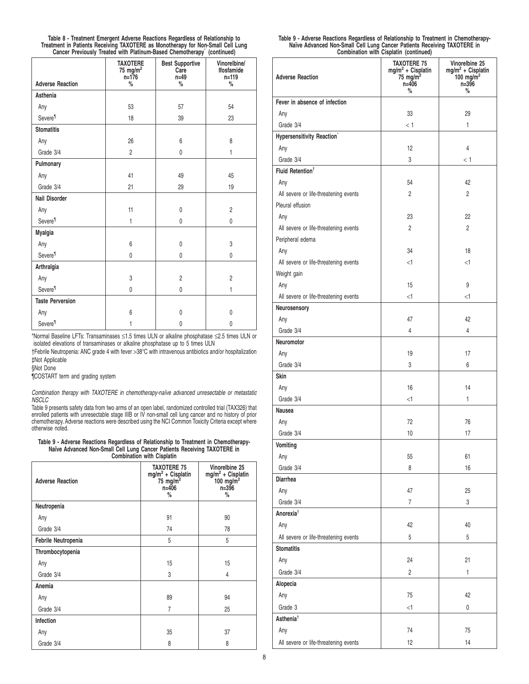|                                                                                 | Table 8 - Treatment Emergent Adverse Reactions Regardless of Relationship to |  |  |
|---------------------------------------------------------------------------------|------------------------------------------------------------------------------|--|--|
| Treatment in Patients Receiving TAXOTERE as Monotherapy for Non-Small Cell Lung |                                                                              |  |  |
|                                                                                 | Cancer Previously Treated with Platinum-Based Chemotherapy (continued)       |  |  |

|                         | <b>TAXOTERE</b><br>75 mg/m <sup>2</sup><br>$n = 176$ | <b>Best Supportive</b><br>Care<br>$n=49$ | Vinorelbine/<br><b>Ifosfamide</b><br>$n = 119$ |
|-------------------------|------------------------------------------------------|------------------------------------------|------------------------------------------------|
| <b>Adverse Reaction</b> | $\%$                                                 | $\%$                                     | $\%$                                           |
| Asthenia                |                                                      |                                          |                                                |
| Any                     | 53                                                   | 57                                       | 54                                             |
| Severe <sup>11</sup>    | 18                                                   | 39                                       | 23                                             |
| <b>Stomatitis</b>       |                                                      |                                          |                                                |
| Any                     | 26                                                   | 6                                        | 8                                              |
| Grade 3/4               | $\overline{2}$                                       | 0                                        | 1                                              |
| Pulmonary               |                                                      |                                          |                                                |
| Any                     | 41                                                   | 49                                       | 45                                             |
| Grade 3/4               | 21                                                   | 29                                       | 19                                             |
| Nail Disorder           |                                                      |                                          |                                                |
| Any                     | 11                                                   | $\mathbf{0}$                             | $\overline{2}$                                 |
| Severe <sup>11</sup>    | 1                                                    | 0                                        | 0                                              |
| Myalgia                 |                                                      |                                          |                                                |
| Any                     | 6                                                    | $\mathbf{0}$                             | 3                                              |
| Severe <sup>11</sup>    | 0                                                    | 0                                        | 0                                              |
| Arthralgia              |                                                      |                                          |                                                |
| Any                     | 3                                                    | $\overline{c}$                           | $\overline{2}$                                 |
| Severe <sup>11</sup>    | 0                                                    | 0                                        | 1                                              |
| <b>Taste Perversion</b> |                                                      |                                          |                                                |
| Any                     | 6                                                    | 0                                        | 0                                              |
| Severe <sup>11</sup>    | 1                                                    | 0                                        | 0                                              |

\*Normal Baseline LFTs: Transaminases ≤1.5 times ULN or alkaline phosphatase ≤2.5 times ULN or isolated elevations of transaminases or alkaline phosphatase up to 5 times ULN

†Febrile Neutropenia: ANC grade 4 with fever >38°C with intravenous antibiotics and/or hospitalization ‡Not Applicable

§Not Done

¶COSTART term and grading system

Combination therapy with TAXOTERE in chemotherapy-naïve advanced unresectable or metastatic **NSCLC** 

Table 9 presents safety data from two arms of an open label, randomized controlled trial (TAX326) that<br>enrolled patients with unresectable stage IIIB or IV non-small cell lung cancer and no history of prior<br>chemotherapy. A otherwise noted.

#### **Table 9 - Adverse Reactions Regardless of Relationship to Treatment in Chemotherapy-Naïve Advanced Non-Small Cell Lung Cancer Patients Receiving TAXOTERE in Combination with Cisplatin**

| <b>Adverse Reaction</b> | <b>TAXOTERE 75</b><br>mg/m <sup>2</sup> + Cisplatin<br>75 mg/m <sup>2</sup><br>$n = 406$<br>% | Vinorelbine 25<br>mg/m <sup>2</sup> + Cisplatin<br>100 mg/m <sup>2</sup><br>$n = 396$<br>% |
|-------------------------|-----------------------------------------------------------------------------------------------|--------------------------------------------------------------------------------------------|
| Neutropenia             |                                                                                               |                                                                                            |
| Any                     | 91                                                                                            | 90                                                                                         |
| Grade 3/4               | 74                                                                                            | 78                                                                                         |
| Febrile Neutropenia     | 5                                                                                             | 5                                                                                          |
| Thrombocytopenia        |                                                                                               |                                                                                            |
| Any                     | 15                                                                                            | 15                                                                                         |
| Grade 3/4               | 3                                                                                             | 4                                                                                          |
| Anemia                  |                                                                                               |                                                                                            |
| Any                     | 89                                                                                            | 94                                                                                         |
| Grade 3/4               | 7                                                                                             | 25                                                                                         |
| Infection               |                                                                                               |                                                                                            |
| Any                     | 35                                                                                            | 37                                                                                         |
| Grade 3/4               | 8                                                                                             | 8                                                                                          |

| Table 9 - Adverse Reactions Regardless of Relationship to Treatment in Chemotherapy- |  |
|--------------------------------------------------------------------------------------|--|
| Naïve Advanced Non-Small Cell Lung Cancer Patients Receiving TAXOTERE in             |  |
| Combination with Cisplatin (continued)                                               |  |

|                                                           | .                                                                                       |                                                                                 |
|-----------------------------------------------------------|-----------------------------------------------------------------------------------------|---------------------------------------------------------------------------------|
| <b>Adverse Reaction</b>                                   | <b>TAXOTERE 75</b><br>$mg/m^2$ + Cisplatin<br>75 mg/m <sup>2</sup><br>$n = 406$<br>$\%$ | Vinorelbine 25<br>$mg/m2 + Cisplatin$<br>100 mg/m <sup>2</sup><br>n=396<br>$\%$ |
| Fever in absence of infection                             |                                                                                         |                                                                                 |
| Any                                                       | 33                                                                                      | 29                                                                              |
| Grade 3/4                                                 | < 1                                                                                     | 1                                                                               |
| Hypersensitivity Reaction <sup>*</sup>                    |                                                                                         |                                                                                 |
| Any                                                       | 12                                                                                      | 4                                                                               |
| Grade 3/4                                                 | 3                                                                                       | < 1                                                                             |
| Fluid Retention <sup>+</sup>                              |                                                                                         |                                                                                 |
| Any                                                       | 54                                                                                      | 42                                                                              |
|                                                           | $\overline{c}$                                                                          | $\overline{2}$                                                                  |
| All severe or life-threatening events<br>Pleural effusion |                                                                                         |                                                                                 |
|                                                           |                                                                                         |                                                                                 |
| Any                                                       | 23                                                                                      | 22                                                                              |
| All severe or life-threatening events                     | $\overline{2}$                                                                          | $\overline{c}$                                                                  |
| Peripheral edema                                          |                                                                                         |                                                                                 |
| Any                                                       | 34                                                                                      | 18                                                                              |
| All severe or life-threatening events                     | $<$ 1                                                                                   | $\leq$ 1                                                                        |
| Weight gain                                               |                                                                                         |                                                                                 |
| Any                                                       | 15                                                                                      | 9                                                                               |
| All severe or life-threatening events                     | $<$ 1                                                                                   | <1                                                                              |
| Neurosensory                                              |                                                                                         |                                                                                 |
| Any                                                       | 47                                                                                      | 42                                                                              |
| Grade 3/4                                                 | 4                                                                                       | 4                                                                               |
| Neuromotor                                                |                                                                                         |                                                                                 |
| Any                                                       | 19                                                                                      | 17                                                                              |
| Grade 3/4                                                 | 3                                                                                       | 6                                                                               |
| Skin                                                      |                                                                                         |                                                                                 |
| Any                                                       | 16                                                                                      | 14                                                                              |
| Grade 3/4                                                 | <1                                                                                      | 1                                                                               |
| Nausea                                                    |                                                                                         |                                                                                 |
| Any                                                       | 72                                                                                      | 76                                                                              |
| Grade 3/4                                                 | 10                                                                                      | 17                                                                              |
| Vomiting                                                  |                                                                                         |                                                                                 |
| Any                                                       | 55                                                                                      | 61                                                                              |
| Grade 3/4                                                 | 8                                                                                       | 16                                                                              |
| <b>Diarrhea</b>                                           |                                                                                         |                                                                                 |
| Any                                                       | 47                                                                                      | 25                                                                              |
| Grade 3/4                                                 | $\overline{7}$                                                                          | 3                                                                               |
| Anorexia <sup>†</sup>                                     |                                                                                         |                                                                                 |
| Any                                                       | 42                                                                                      | 40                                                                              |
| All severe or life-threatening events                     | 5                                                                                       | 5                                                                               |
| <b>Stomatitis</b>                                         |                                                                                         |                                                                                 |
| Any                                                       | 24                                                                                      | 21                                                                              |
| Grade 3/4                                                 | $\overline{2}$                                                                          | 1                                                                               |
| Alopecia                                                  |                                                                                         |                                                                                 |
| Any                                                       | 75                                                                                      | 42                                                                              |
| Grade 3                                                   | $<$ 1                                                                                   | $\pmb{0}$                                                                       |
| Asthenia <sup>†</sup>                                     |                                                                                         |                                                                                 |
|                                                           | 74                                                                                      |                                                                                 |
| Any                                                       |                                                                                         | 75                                                                              |
| All severe or life-threatening events                     | 12                                                                                      | 14                                                                              |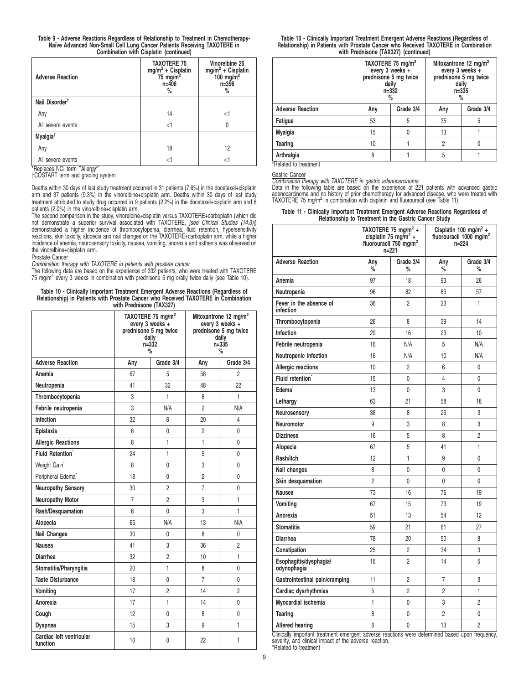| Table 9 - Adverse Reactions Regardless of Relationship to Treatment in Chemotherapy- |
|--------------------------------------------------------------------------------------|
| Naïve Advanced Non-Small Cell Lung Cancer Patients Receiving TAXOTERE in             |
| Combination with Cisplatin (continued)                                               |

| <b>Adverse Reaction</b>                                     | <b>TAXOTERE 75</b><br>$mg/m2 + Cisplatin$<br>75 mg/m <sup>2</sup><br>$n = 406$<br>% | Vinorelbine 25<br>$mg/m2 + Cisplatin$<br>100 mg/m <sup>2</sup><br>$n = 396$<br>% |
|-------------------------------------------------------------|-------------------------------------------------------------------------------------|----------------------------------------------------------------------------------|
| Nail Disorder <sup>†</sup>                                  |                                                                                     |                                                                                  |
| Any                                                         | 14                                                                                  | <1                                                                               |
| All severe events                                           | $<$ 1                                                                               | $\Omega$                                                                         |
| Myalgia <sup>t</sup>                                        |                                                                                     |                                                                                  |
| Any                                                         | 18                                                                                  | 12                                                                               |
| All severe events<br>$*$ Deplease $N$ Cl tarm $''$ Allargu/ | <1                                                                                  | <1                                                                               |

\*Replaces NCI term ″Allergy″ †COSTART term and grading system

Deaths within 30 days of last study treatment occurred in 31 patients (7.6%) in the docetaxel+cisplatin<br>arm and 37 patients (9.3%) in the vinorelbine+cisplatin arm. Deaths within 30 days of last study<br>treatment attributed

The second comparison in the study, vinorelbine+cisplatin versus TAXOTERE+carboplatin (which did<br>not demonstrate a superior survival associated with TAXOTERE, *[see Clinical Studies (14.3)]*) demonstrated a higher incidence of thrombocytopenia, diarrhea, fluid retention, hypersensitivity reactions, skin toxicity, alopecia and nail changes on the TAXOTERE+carboplatin arm, while a higher incidence of anemia, neurosensory toxicity, nausea, vomiting, anorexia and asthenia was observed on the vinorelbine+cisplatin arm.

Prostate Cancer Combination therapy with TAXOTERE in patients with prostate cancer

The following data are based on the experience of 332 patients, who were treated with TAXOTERE 75 mg/m<sup>2</sup> every 3 weeks in combination with prednisone 5 mg orally twice daily (see Table 10).

**Table 10 - Clinically Important Treatment Emergent Adverse Reactions (Regardless of Relationship) in Patients with Prostate Cancer who Received TAXOTERE in Combination with Prednisone (TAX327)**

|                                      |                | TAXOTERE 75 mg/m <sup>2</sup><br>every 3 weeks +<br>prednisone 5 mg twice<br>daily<br>$n = 332$<br>% | Mitoxantrone 12 mg/m <sup>2</sup><br>every 3 weeks +<br>prednisone 5 mg twice<br>daily<br>$n = 335$<br>$\frac{9}{6}$ |                |  |
|--------------------------------------|----------------|------------------------------------------------------------------------------------------------------|----------------------------------------------------------------------------------------------------------------------|----------------|--|
| <b>Adverse Reaction</b>              | Any            | Grade 3/4                                                                                            | Any                                                                                                                  | Grade 3/4      |  |
| Anemia                               | 67<br>5        |                                                                                                      | 58                                                                                                                   | 2              |  |
| Neutropenia                          | 41             | 32                                                                                                   | 48                                                                                                                   | 22             |  |
| Thrombocytopenia                     | 3              | 1                                                                                                    | 8                                                                                                                    | 1              |  |
| Febrile neutropenia                  | 3              | N/A                                                                                                  | $\overline{2}$                                                                                                       | N/A            |  |
| Infection                            | 32             | 6                                                                                                    | 20                                                                                                                   | 4              |  |
| Epistaxis                            | 6              | 0                                                                                                    | $\overline{2}$                                                                                                       | 0              |  |
| <b>Allergic Reactions</b>            | 8              | $\mathbf{1}$                                                                                         | $\mathbf{1}$                                                                                                         | 0              |  |
| <b>Fluid Retention</b>               | 24             | 1                                                                                                    | 5                                                                                                                    | 0              |  |
| Weight Gain*                         | 8              | 0                                                                                                    | 3                                                                                                                    | 0              |  |
| Peripheral Edema <sup>*</sup>        | 18             | 0                                                                                                    | $\overline{2}$                                                                                                       | 0              |  |
| <b>Neuropathy Sensory</b>            | 30             | $\overline{2}$                                                                                       | $\overline{7}$                                                                                                       | 0              |  |
| <b>Neuropathy Motor</b>              | $\overline{7}$ | $\overline{2}$                                                                                       | 3                                                                                                                    | $\mathbf{1}$   |  |
| Rash/Desquamation                    | 6              | 0                                                                                                    | 3                                                                                                                    | $\mathbf{1}$   |  |
| Alopecia                             | 65             | N/A                                                                                                  | 13                                                                                                                   | N/A            |  |
| <b>Nail Changes</b>                  | 30             | 0                                                                                                    | 8                                                                                                                    | 0              |  |
| Nausea                               | 41             | 3                                                                                                    | 36                                                                                                                   | $\overline{2}$ |  |
| <b>Diarrhea</b>                      | 32             | $\overline{2}$                                                                                       | 10                                                                                                                   | $\mathbf{1}$   |  |
| Stomatitis/Pharyngitis               | 20             | $\mathbf{1}$                                                                                         | 8                                                                                                                    | 0              |  |
| <b>Taste Disturbance</b>             | 18             | 0                                                                                                    | $\overline{7}$                                                                                                       | 0              |  |
| Vomiting                             | 17             | $\overline{2}$                                                                                       | 14                                                                                                                   | $\overline{2}$ |  |
| Anorexia                             | 17             | $\mathbf{1}$                                                                                         | 14                                                                                                                   | 0              |  |
| Cough                                | 12             | 0                                                                                                    | 8                                                                                                                    | 0              |  |
| Dyspnea                              | 15             | 3                                                                                                    | 9                                                                                                                    | $\mathbf{1}$   |  |
| Cardiac left ventricular<br>function | 10             | 0                                                                                                    | 22                                                                                                                   | 1              |  |

| Table 10 - Clinically Important Treatment Emergent Adverse Reactions (Regardless of |  |
|-------------------------------------------------------------------------------------|--|
| Relationship) in Patients with Prostate Cancer who Received TAXOTERE in Combination |  |
| with Prednisone (TAX327) (continued)                                                |  |

|                         |                  | TAXOTERE 75 mg/m <sup>2</sup><br>every 3 weeks +<br>prednisone 5 mg twice<br>daily<br>$n = 332$<br>% | every 3 weeks +<br>daily | Mitoxantrone 12 mg/m <sup>2</sup><br>prednisone 5 mg twice<br>$n = 335$<br>% |
|-------------------------|------------------|------------------------------------------------------------------------------------------------------|--------------------------|------------------------------------------------------------------------------|
| <b>Adverse Reaction</b> | Grade 3/4<br>Any |                                                                                                      | Any                      | Grade 3/4                                                                    |
| Fatigue                 | 53               | 5                                                                                                    | 35                       | 5                                                                            |
| <b>Myalgia</b>          | 15               |                                                                                                      | 13                       |                                                                              |
| Tearing                 | 10               |                                                                                                      | 2                        |                                                                              |
| Arthralgia              | 8                |                                                                                                      | 5                        |                                                                              |

\*Related to treatment

#### Gastric Cancer

Combination therapy with TAXOTERE in gastric adenocarcinoma<br>Data in the following table are based on the experience of 221 patients with advanced gastric<br>adenocarcinoma and no history of prior chemotherapy for advanced dis

#### **Table 11 - Clinically Important Treatment Emergent Adverse Reactions Regardless of Relationship to Treatment in the Gastric Cancer Study**

|                                                                                | TAXOTERE 75 mg/m <sup>2</sup> +<br>cisplatin 75 mg/m <sup>2</sup> +<br>fluorouracil 750 mg/m <sup>2</sup><br>$n = 221$ |                     |                 | Cisplatin 100 mg/m <sup>2</sup> +<br>fluorouracil 1000 mg/m <sup>2</sup><br>$n = 224$ |  |
|--------------------------------------------------------------------------------|------------------------------------------------------------------------------------------------------------------------|---------------------|-----------------|---------------------------------------------------------------------------------------|--|
| <b>Adverse Reaction</b>                                                        | Any<br>%                                                                                                               | Grade 3/4<br>%      | Any<br>%        | Grade 3/4<br>%                                                                        |  |
| Anemia                                                                         | 97                                                                                                                     | 18                  | 93              | 26                                                                                    |  |
| Neutropenia                                                                    | 96                                                                                                                     | 82                  | 83              | 57                                                                                    |  |
| Fever in the absence of<br>infection                                           | 36                                                                                                                     | 2                   | 23              | 1                                                                                     |  |
| Thrombocytopenia                                                               | 26                                                                                                                     | 8                   | 39              | 14                                                                                    |  |
| Infection                                                                      | 29                                                                                                                     | 16                  | 23              | 10                                                                                    |  |
| Febrile neutropenia                                                            | 16                                                                                                                     | N/A                 | 5               | N/A                                                                                   |  |
| Neutropenic infection                                                          | 16                                                                                                                     | N/A                 | 10              | N/A                                                                                   |  |
| Allergic reactions                                                             | 10                                                                                                                     | 2                   | 6               | 0                                                                                     |  |
| Fluid retention <sup>*</sup>                                                   | 15                                                                                                                     | 0                   | 4               | 0                                                                                     |  |
| Edema <sup>®</sup>                                                             | 13                                                                                                                     | 0                   | 3               | 0                                                                                     |  |
| Lethargy                                                                       | 63                                                                                                                     | 21                  | 58              | 18                                                                                    |  |
| Neurosensory                                                                   | 38                                                                                                                     | 8                   | 25              | 3                                                                                     |  |
| Neuromotor                                                                     | 9                                                                                                                      | 3                   | 8               | 3                                                                                     |  |
| <b>Dizziness</b>                                                               | 16                                                                                                                     | 5                   | 8               | $\overline{2}$                                                                        |  |
| Alopecia                                                                       | 67                                                                                                                     | 5                   | 41              | 1                                                                                     |  |
| Rash/itch                                                                      | 12                                                                                                                     | 1                   | 9               | 0                                                                                     |  |
| Nail changes                                                                   | 8                                                                                                                      | 0                   | 0               | 0                                                                                     |  |
| Skin desquamation                                                              | $\overline{c}$                                                                                                         | 0                   | 0               | 0                                                                                     |  |
| <b>Nausea</b>                                                                  | 73                                                                                                                     | 16<br>76            |                 | 19                                                                                    |  |
| Vomiting                                                                       | 67                                                                                                                     | 15                  |                 | 19                                                                                    |  |
| Anorexia                                                                       | 51                                                                                                                     | 13                  | 54              | 12                                                                                    |  |
| <b>Stomatitis</b>                                                              | 59                                                                                                                     | 21                  | 61              | 27                                                                                    |  |
| <b>Diarrhea</b>                                                                | 78                                                                                                                     | 20                  | 50              | 8                                                                                     |  |
| Constipation                                                                   | 25                                                                                                                     | 2                   | 34              | 3                                                                                     |  |
| Esophagitis/dysphagia/<br>odynophagia                                          | 16                                                                                                                     | 2                   | 14              | 5                                                                                     |  |
| Gastrointestinal pain/cramping                                                 | 11                                                                                                                     | $\overline{2}$      | 7               | 3                                                                                     |  |
| Cardiac dysrhythmias                                                           | 5                                                                                                                      | $\overline{2}$      | 2               | $\mathbf{1}$                                                                          |  |
| Myocardial ischemia                                                            | 1                                                                                                                      | 0                   | 3               | $\overline{2}$                                                                        |  |
| <b>Tearing</b>                                                                 | 8                                                                                                                      | 0                   | $\overline{2}$  | 0                                                                                     |  |
| <b>Altered hearing</b><br>ومرجا المتواصلين ومراريه المرجلين والمتوارد والجرامة | 6<br>مسمر الممالك                                                                                                      | 0<br>. <del>.</del> | 13<br>امممما ام | $\overline{2}$<br>1.1.1.1                                                             |  |

Clinically important treatment emergent adverse reactions were determined based upon frequency, severity, and clinical impact of the adverse reaction.

\*Related to treatment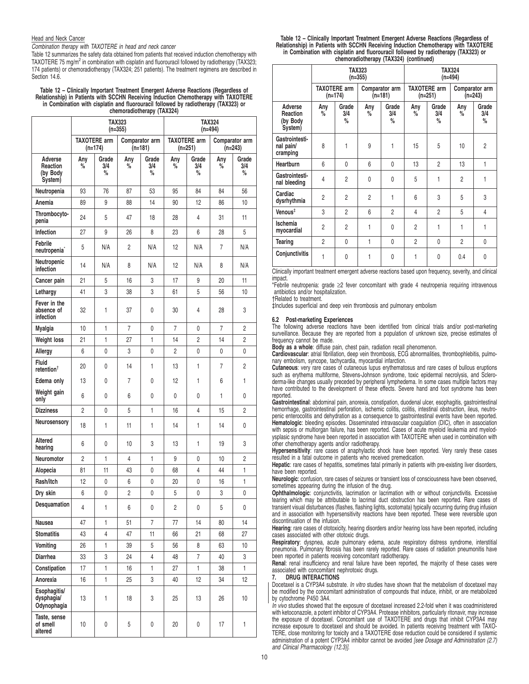#### Head and Neck Cancer

Combination therapy with TAXOTERE in head and neck cancer

Table 12 summarizes the safety data obtained from patients that received induction chemotherapy with TAXOTERE 75 mg/m<sup>2</sup> in combination with cisplatin and fluorouracil followed by radiotherapy (TAX323; 174 patients) or chemoradiotherapy (TAX324; 251 patients). The treatment regimens are described in Section 14.6.

#### **Table 12 – Clinically Important Treatment Emergent Adverse Reactions (Regardless of Relationship) in Patients with SCCHN Receiving Induction Chemotherapy with TAXOTERE in Combination with cisplatin and fluorouracil followed by radiotherapy (TAX323) or chemoradiotherapy (TAX324)**

|                                            | TAX323<br>$(n=355)$ |                                  |                             | <b>TAX324</b><br>$(n=494)$ |                |                     |          |                             |
|--------------------------------------------|---------------------|----------------------------------|-----------------------------|----------------------------|----------------|---------------------|----------|-----------------------------|
|                                            |                     | <b>TAXOTERE</b> arm<br>$(n=174)$ | Comparator arm<br>$(n=181)$ |                            | $(n=251)$      | <b>TAXOTERE</b> arm |          | Comparator arm<br>$(n=243)$ |
| Adverse<br>Reaction<br>(by Body<br>System) | Any<br>%            | Grade<br>3/4<br>%                | Any<br>%                    | Grade<br>3/4<br>%          | Any<br>%       | Grade<br>3/4<br>%   | Any<br>% | Grade<br>3/4<br>%           |
| Neutropenia                                | 93                  | 76                               | 87                          | 53                         | 95             | 84                  | 84       | 56                          |
| Anemia                                     | 89                  | 9                                | 88                          | 14                         | 90             | 12                  | 86       | 10                          |
| Thrombocyto-<br>penia                      | 24                  | 5                                | 47                          | 18                         | 28             | 4                   | 31       | 11                          |
| Infection                                  | 27                  | 9                                | 26                          | 8                          | 23             | 6                   | 28       | 5                           |
| Febrile<br>neutropenia <sup>*</sup>        | 5                   | N/A                              | $\overline{c}$              | N/A                        | 12             | N/A                 | 7        | N/A                         |
| Neutropenic<br>infection                   | 14                  | N/A                              | 8                           | N/A                        | 12             | N/A                 | 8        | N/A                         |
| Cancer pain                                | 21                  | 5                                | 16                          | 3                          | 17             | 9                   | 20       | 11                          |
| Lethargy                                   | 41                  | 3                                | 38                          | 3                          | 61             | 5                   | 56       | 10                          |
| Fever in the<br>absence of<br>infection    | 32                  | 1                                | 37                          | 0                          | 30             | 4                   | 28       | 3                           |
| Myalgia                                    | 10                  | 1                                | 7                           | 0                          | 7              | 0                   | 7        | 2                           |
| <b>Weight loss</b>                         | 21                  | 1                                | 27                          | 1                          | 14             | 2                   | 14       | 2                           |
| Allergy                                    | 6                   | 0                                | 3                           | 0                          | $\overline{2}$ | 0                   | 0        | 0                           |
| Fluid<br>retention $†$                     | 20                  | 0                                | 14                          | 1                          | 13             | 1                   | 7        | 2                           |
| Edema only                                 | 13                  | 0                                | 7                           | 0                          | 12             | 1                   | 6        | 1                           |
| Weight gain<br>only                        | 6                   | 0                                | 6                           | 0                          | 0              | 0                   | 1        | 0                           |
| <b>Dizziness</b>                           | 2                   | 0                                | 5                           | 1                          | 16             | 4                   | 15       | 2                           |
| Neurosensory                               | 18                  | 1                                | 11                          | 1                          | 14             | 1                   | 14       | 0                           |
| <b>Altered</b><br>hearing                  | 6                   | 0                                | 10                          | 3                          | 13             | 1                   | 19       | 3                           |
| Neuromotor                                 | $\overline{2}$      | $\mathbf{1}$                     | 4                           | 1                          | 9              | 0                   | 10       | $\overline{c}$              |
| Alopecia                                   | 81                  | 11                               | 43                          | 0                          | 68             | 4                   | 44       | 1                           |
| Rash/itch                                  | 12                  | 0                                | 6                           | 0                          | 20             | 0                   | 16       | 1                           |
| Dry skin                                   | 6                   | 0                                | 2                           | 0                          | 5              | 0                   | 3        | 0                           |
| Desquamation                               | 4                   | 1                                | 6                           | 0                          | 2              | 0                   | 5        | 0                           |
| Nausea                                     | 47                  | 1                                | 51                          | $\overline{7}$             | 77             | 14                  | 80       | 14                          |
| <b>Stomatitis</b>                          | 43                  | 4                                | 47                          | 11                         | 66             | 21                  | 68       | 27                          |
| Vomiting                                   | 26                  | 1                                | 39                          | 5                          | 56             | 8                   | 63       | 10                          |
| Diarrhea                                   | 33                  | 3                                | 24                          | 4                          | 48             | $\overline{7}$      | 40       | 3                           |
| Constipation                               | 17                  | $\mathbf{1}$                     | 16                          | 1                          | 27             | 1                   | 38       | 1                           |
| Anorexia                                   | 16                  | 1                                | 25                          | 3                          | 40             | 12                  | 34       | 12                          |
| Esophagitis/<br>dysphagia/<br>Odynophagia  | 13                  | 1                                | 18                          | 3                          | 25             | 13                  | 26       | 10                          |
| Taste, sense<br>of smell<br>altered        | 10                  | 0                                | 5                           | 0                          | 20             | 0                   | 17       | 1                           |

| Table 12 – Clinically Important Treatment Emergent Adverse Reactions (Regardless of |
|-------------------------------------------------------------------------------------|
| Relationship) in Patients with SCCHN Receiving Induction Chemotherapy with TAXOTERE |
| in Combination with cisplatin and fluorouracil followed by radiotherapy (TAX323) or |
| chemoradiotherapy (TAX324) (continued)                                              |

|                                            | <b>TAX323</b><br>$(n=355)$ |                                  |                |                             | <b>TAX324</b><br>$(n=494)$ |                                  |                           |                   |
|--------------------------------------------|----------------------------|----------------------------------|----------------|-----------------------------|----------------------------|----------------------------------|---------------------------|-------------------|
|                                            |                            | <b>TAXOTERE</b> arm<br>$(n=174)$ |                | Comparator arm<br>$(n=181)$ |                            | <b>TAXOTERE arm</b><br>$(n=251)$ | Comparator arm<br>(n=243) |                   |
| Adverse<br>Reaction<br>(by Body<br>System) | Any<br>℅                   | Grade<br>3/4<br>%                | Any<br>%       | Grade<br>3/4<br>%           | Any<br>℅                   | Grade<br>3/4<br>%                | Any<br>%                  | Grade<br>3/4<br>% |
| Gastrointesti-<br>nal pain/<br>cramping    | 8                          | 1                                | 9              | 1                           | 15                         | 5                                | 10                        | $\overline{2}$    |
| <b>Heartburn</b>                           | 6                          | $\mathbf{0}$                     | 6              | 0                           | 13                         | $\mathfrak{p}$                   | 13                        | 1                 |
| Gastrointesti-<br>nal bleeding             | $\overline{4}$             | $\overline{2}$                   | $\mathbf{0}$   | 0                           | 5                          | 1                                | $\overline{2}$            | 1                 |
| Cardiac<br>dysrhythmia                     | $\overline{2}$             | $\overline{2}$                   | $\overline{2}$ | 1                           | 6                          | 3                                | 5                         | 3                 |
| Venous <sup>#</sup>                        | 3                          | $\overline{2}$                   | 6              | $\overline{2}$              | $\overline{4}$             | $\overline{c}$                   | 5                         | 4                 |
| Ischemia<br>myocardial                     | $\overline{2}$             | $\overline{2}$                   | 1              | 0                           | $\overline{2}$             | 1                                | 1                         | 1                 |
| Tearing                                    | $\overline{2}$             | $\mathbf{0}$                     | 1              | 0                           | $\overline{2}$             | 0                                | $\overline{2}$            | 0                 |
| Conjunctivitis                             | 1                          | 0                                | 1              | 0                           | 1                          | 0                                | 0.4                       | 0                 |

Clinically important treatment emergent adverse reactions based upon frequency, severity, and clinical impact.

\*Febrile neutropenia: grade ≥2 fever concomitant with grade 4 neutropenia requiring intravenous antibiotics and/or hospitalization.

†Related to treatment.

‡Includes superficial and deep vein thrombosis and pulmonary embolism

#### **6.2 Post-marketing Experiences**

The following adverse reactions have been identified from clinical trials and/or post-marketing surveillance. Because they are reported from a population of unknown size, precise estimates of frequency cannot be made.

**Body as a whole**: diffuse pain, chest pain, radiation recall phenomenon. **Cardiovascular**: atrial fibrillation, deep vein thrombosis, ECG abnormalities, thrombophlebitis, pulmonary embolism, syncope, tachycardia, myocardial infarction.

**Cutaneous**: very rare cases of cutaneous lupus erythematosus and rare cases of bullous eruptions such as erythema multiforme, Stevens-Johnson syndrome, toxic epidermal necrolysis, and Scleroderma-like changes usually preceded by peripheral lymphedema. In some cases multiple factors may have contributed to the development of these effects. Severe hand and foot syndrome has been reported.

**Gastrointestinal**: abdominal pain, anorexia, constipation, duodenal ulcer, esophagitis, gastrointestinal hemorrhage, gastrointestinal perforation, ischemic colitis, colitis, intestinal obstruction, ileus, neutropenic enterocolitis and dehydration as a consequence to gastrointestinal events have been reported. **Hematologic**: bleeding episodes. Disseminated intravascular coagulation (DIC), often in association with sepsis or multiorgan failure, has been reported. Cases of acute myeloid leukemia and myelodysplasic syndrome have been reported in association with TAXOTERE when used in combination with other chemotherapy agents and/or radiotherapy.

**Hypersensitivity**: rare cases of anaphylactic shock have been reported. Very rarely these cases resulted in a fatal outcome in patients who received premedication.

**Hepatic**: rare cases of hepatitis, sometimes fatal primarily in patients with pre-existing liver disorders, have been reported.

**Neurologic**: confusion, rare cases of seizures or transient loss of consciousness have been observed, sometimes appearing during the infusion of the drug.

**Ophthalmologic**: conjunctivitis, lacrimation or lacrimation with or without conjunctivitis. Excessive tearing which may be attributable to lacrimal duct obstruction has been reported. Rare cases of transient visual disturbances (flashes, flashing lights, scotomata) typically occurring during drug infusion and in association with hypersensitivity reactions have been reported. These were reversible upon discontinuation of the infusion.

**Hearing**: rare cases of ototoxicity, hearing disorders and/or hearing loss have been reported, including cases associated with other ototoxic drugs.

**Respiratory**: dyspnea, acute pulmonary edema, acute respiratory distress syndrome, interstitial pneumonia. Pulmonary fibrosis has been rarely reported. Rare cases of radiation pneumonitis have been reported in patients receiving concomitant radiotherapy.

**Renal**: renal insufficiency and renal failure have been reported, the majority of these cases were Associated with concomitant nephrotoxic drugs.<br> **7.** DRUG INTERACTIONS

#### **7. DRUG INTERACTIONS**

Docetaxel is a CYP3A4 substrate. In vitro studies have shown that the metabolism of docetaxel may be modified by the concomitant administration of compounds that induce, inhibit, or are metabolized by cytochrome P450 3A4.

In vivo studies showed that the exposure of docetaxel increased 2.2-fold when it was coadministered with ketoconazole, a potent inhibitor of CYP3A4. Protease inhibitors, particularly ritonavir, may increase the exposure of docetaxel. Concomitant use of TAXOTERE and drugs that inhibit CYP3A4 may increase exposure to docetaxel and should be avoided. In patients receiving treatment with TAXO-TERE, close monitoring for toxicity and a TAXOTERE dose reduction could be considered if systemic administration of a potent CYP3A4 inhibitor cannot be avoided [see Dosage and Administration (2.7) and Clinical Pharmacology (12.3)].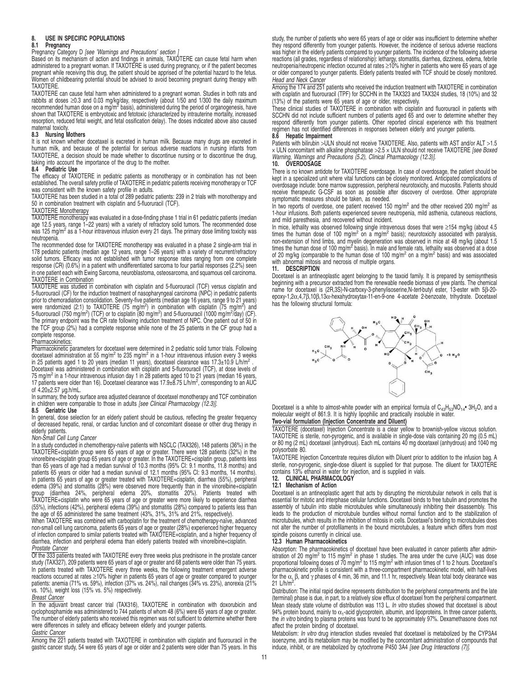# **8. USE IN SPECIFIC POPULATIONS**

#### **8.1 Pregnancy**

Pregnancy Category D [see 'Warnings and Precautions' section ]

Based on its mechanism of action and findings in animals, TAXOTERE can cause fetal harm when administered to a pregnant woman. If TAXOTERE is used during pregnancy, or if the patient becomes pregnant while receiving this drug, the patient should be apprised of the potential hazard to the fetus. Women of childbearing potential should be advised to avoid becoming pregnant during therapy with **TAXOTERE** 

TAXOTERE can cause fetal harm when administered to a pregnant woman. Studies in both rats and rabbits at doses ≥0.3 and 0.03 mg/kg/day, respectively (about 1/50 and 1/300 the daily maximum recommended human dose on a mg/m<sup>2</sup> basis), administered during the period of organogenesis, have shown that TAXOTERE is embryotoxic and fetotoxic (characterized by intrauterine mortality, increased resorption, reduced fetal weight, and fetal ossification delay). The doses indicated above also caused maternal toxicity.

# **8.3 Nursing Mothers**

It is not known whether docetaxel is excreted in human milk. Because many drugs are excreted in human milk, and because of the potential for serious adverse reactions in nursing infants from TAXOTERE, a decision should be made whether to discontinue nursing or to discontinue the drug, taking into account the importance of the drug to the mother.

#### **8.4 Pediatric Use**

The efficacy of TAXOTERE in pediatric patients as monotherapy or in combination has not been established. The overall safety profile of TAXOTERE in pediatric patients receiving monotherapy or TCF

was consistent with the known safety profile in adults. TAXOTERE has been studied in a total of 289 pediatric patients: 239 in 2 trials with monotherapy and 50 in combination treatment with cisplatin and 5-fluoruracil (TCF).

# TAXOTERE Monotherapy

TAXOTERE monotherapy was evaluated in a dose-finding phase 1 trial in 61 pediatric patients (median age 12.5 years, range 1–22 years) with a variety of refractory solid tumors. The recommended dose<br>was 125 mg/m<sup>2</sup> as a 1-hour intravenous infusion every 21 days. The primary dose limiting toxicity was neutropenia.

The recommended dose for TAXOTERE monotherapy was evaluated in a phase 2 single-arm trial in 178 pediatric patients (median age 12 years, range 1–26 years) with a variety of recurrent/refractory solid tumors. Efficacy was not established with tumor response rates ranging from one complete response (CR) (0.6%) in a patient with undifferentiated sarcoma to four partial responses (2.2%) seen in one patient each with Ewing Sarcoma, neuroblastoma, osteosarcoma, and squamous cell carcinoma. TAXOTERE in Combination

TAXOTERE was studied in combination with cisplatin and 5-fluorouracil (TCF) versus cisplatin and 5-fluorouracil (CF) for the induction treatment of nasopharyngeal carcinoma (NPC) in pediatric patients prior to chemoradiation consolidation. Seventy-five patients (median age 16 years, range 9 to 21 years) .<br>were randomized (2:1) to TAXOTERE (75 mg/m<sup>2</sup>) in combination with cisplatin (75 mg/m<sup>2</sup>) and<br>5-fluorouracil (750 mg/m<sup>2</sup>) (TCF) or to cisplatin (80 mg/m<sup>2</sup>) and 5-fluorouracil (1000 mg/m<sup>2</sup>/day) (CF). The primary endpoint was the CR rate following induction treatment of NPC. One patient out of 50 in the TCF group (2%) had a complete response while none of the 25 patients in the CF group had a complete response.

#### Pharmacokinetics:

Pharmacokinetic parameters for docetaxel were determined in 2 pediatric solid tumor trials. Following docetaxel administration at 55 mg/m<sup>2</sup> to 235 mg/m<sup>2</sup> in a 1-hour intravenous infusion every 3 weeks in 25 patients aged 1 to 20 years (median 11 years), docetaxel clearance was 17.3±10.9 L/h/m<sup>2</sup>.

Docetaxel was administered in combination with cisplatin and 5-fluorouracil (TCF), at dose levels of 75 mg/m<sup>2</sup> in a 1-hour intravenous infusion day 1 in 28 patients aged 10 to 21 years (median 16 years, 17 patients were older than 16). Docetaxel clearance was 17.9±8.75 L/h/m<sup>2</sup>, corresponding to an AUC of 4.20±2.57 µg.h/mL.

In summary, the body surface area adjusted clearance of docetaxel monotherapy and TCF combination in children were comparable to those in adults [see Clinical Pharmacology (12.3)].

#### **8.5 Geriatric Use**

In general, dose selection for an elderly patient should be cautious, reflecting the greater frequency of decreased hepatic, renal, or cardiac function and of concomitant disease or other drug therapy in elderly patients.

#### Non-Small Cell Lung Cancer

In a study conducted in chemotherapy-naïve patients with NSCLC (TAX326), 148 patients (36%) in the TAXOTERE-cisplatin group were 65 years of age or greater. There were 128 patients (32%) in the vincrelation group were 65 y In patients 65 years of age or greater treated with TAXOTERE+cisplatin, diarrhea (55%), peripheral edema (39%) and stomaitis (28%) were observed more frequently than in the vinorelbine+cisplatin<br>group (diarrhea 24%, peripheral edema 20%, stomatitis 20%). Patients treated with<br>TAXOTERE+cisplatin who were 65 years of age

When TAXOTERE was combined with carboplatin for the treatment of chemotherapy-naïve, advanced<br>non-small cell lung carcinoma, patients 65 years of age or greater (28%) experienced higher frequency<br>of infection compared to s diarrhea, infection and peripheral edema than elderly patients treated with vinorelbine+cisplatin.<br>Prostate Cancer

Of the 333 patients treated with TAXOTERE every three weeks plus prednisone in the prostate cancer study (TAX327), 209 patients were 65 years of age or greater and 68 patients were older than 75 years. In patients treated with TAXOTERE every three weeks, the following treatment emergent adverse reactions occurred at rates ≥10% higher in patients 65 years of age or greater compared to younger<br>patients: anemia (71% vs. 59%), infection (37% vs. 24%), nail changes (34% vs. 23%), anorexia (21% vs. 10%), weight loss (15% vs. 5%) respectively.

#### Breast Cancer

In the adjuvant breast cancer trial (TAX316), TAXOTERE in combination with doxorubicin and cyclophosphamide was administered to 744 patients of whom 48 (6%) were 65 years of age or greater. The number of elderly patients who received this regimen was not sufficient to determine whether there were differences in safety and efficacy between elderly and younger patients.

#### Gastric Cancer

Among the 221 patients treated with TAXOTERE in combination with cisplatin and fluorouracil in the gastric cancer study, 54 were 65 years of age or older and 2 patients were older than 75 years. In this study, the number of patients who were 65 years of age or older was insufficient to determine whether they respond differently from younger patients. However, the incidence of serious adverse reactions was higher in the elderly patients compared to younger patients. The incidence of the following adverse reactions (all grades, regardless of relationship): lethargy, stomatitis, diarrhea, dizziness, edema, febrile<br>neutropenia/neutropenic infection occurred at rates ≥10% higher in patients who were 65 years of age or older compared to younger patients. Elderly patients treated with TCF should be closely monitored. Head and Neck Cancer

Among the 174 and 251 patients who received the induction treatment with TAXOTERE in combination with cisplatin and fluorouracil (TPF) for SCCHN in the TAX323 and TAX324 studies, 18 (10%) and 32 (13%) of the patients were 65 years of age or older, respectively.

These clinical studies of TAXOTERE in combination with cisplatin and fluorouracil in patients with SCCHN did not include sufficient numbers of patients aged 65 and over to determine whether they respond differently from younger patients. Other reported clinical experience with this treatment regimen has not identified differences in responses between elderly and younger patients.

## **8.6 Hepatic Impairment**

Patients with bilirubin >ULN should not receive TAXOTERE. Also, patients with AST and/or ALT >1.5 × ULN concomitant with alkaline phosphatase >2.5 × ULN should not receive TAXOTERE [see Boxed Warning, Warnings and Precautions (5.2), Clinical Pharmacology (12.3)].

# **10. OVERDOSAGE**

There is no known antidote for TAXOTERE overdosage. In case of overdosage, the patient should be kept in a specialized unit where vital functions can be closely monitored. Anticipated complications of overdosage include: bone marrow suppression, peripheral neurotoxicity, and mucositis. Patients should receive therapeutic G-CSF as soon as possible after discovery of overdose. Other appropriate symptomatic measures should be taken, as needed.

In two reports of overdose, one patient received 150 mg/m<sup>2</sup> and the other received 200 mg/m<sup>2</sup> as 1-hour infusions. Both patients experienced severe neutropenia, mild asthenia, cutaneous reactions, and mild paresthesia, and recovered without incident.

In mice, lethality was observed following single intravenous doses that were ≥154 mg/kg (about 4.5 times the human dose of 100 mg/m<sup>2</sup> on a mg/m<sup>2</sup> basis); neurotoxicity associated with paralysis, non-extension of hind limbs, and myelin degeneration was observed in mice at 48 mg/kg (about 1.5 times the human dose of 100 mg/m<sup>2</sup> basis). In male and female rats, lethality was observed at a dose of 20 mg/kg (comparable to the human dose of 100 mg/m<sup>2</sup> on a mg/m<sup>2</sup> basis) and was associated with abnormal mitosis and necrosis of multiple organs.

#### **11. DESCRIPTION**

Docetaxel is an antineoplastic agent belonging to the taxoid family. It is prepared by semisynthesis<br>beginning with a precursor extracted from the renewable needle biomass of yew plants. The chemical<br>name for docetaxel is epoxy-1,2α,4,7β,10β,13α-hexahydroxytax-11-en-9-one 4-acetate 2-benzoate, trihydrate. Docetaxel has the following structural formula:



Docetaxel is a white to almost-white powder with an empirical formula of  $C_{43}H_{53}NO_{14}$ <sup>•</sup> 3H<sub>2</sub>O, and a molecular weight of 861.9. It is highly lipophilic and practically insoluble in water. **Two-vial formulation (Injection Concentrate and Diluent)**

TAXOTERE (docetaxel) Injection Concentrate is a clear yellow to brownish-yellow viscous solution. TAXOTERE is sterile, non-pyrogenic, and is available in single-dose vials containing 20 mg (0.5 mL) or 80 mg (2 mL) docetaxel (anhydrous). Each mL contains 40 mg docetaxel (anhydrous) and 1040 mg polysorbate 80.

TAXOTERE Injection Concentrate requires dilution with Diluent prior to addition to the infusion bag. A sterile, non-pyrogenic, single-dose diluent is supplied for that purpose. The diluent for TAXOTERE contains 13% ethanol in water for injection, and is supplied in vials.

# **12. CLINICAL PHARMACOLOGY**

### **12.1 Mechanism of Action**

Docetaxel is an antineoplastic agent that acts by disrupting the microtubular network in cells that is essential for mitotic and interphase cellular functions. Docetaxel binds to free tubulin and promotes the assembly of tubulin into stable microtubules while simultaneously inhibiting their disassembly. This leads to the production of microtubule bundles without normal function and to the stabilization of microtubules, which results in the inhibition of mitosis in cells. Docetaxel's binding to microtubules does microtubules does not alter the number of protofilaments in the bound microtubules, a feature which differs from most spindle poisons currently in clinical use. **12.3 Human Pharmacokinetics**

Absorption: The pharmacokinetics of docetaxel have been evaluated in cancer patients after administration of 20 mg/m<sup>2</sup> to 115 mg/m<sup>2</sup> in phase 1 studies. The area under the curve (AUC) was dose proportional following doses of 70 mg/m<sup>2</sup> to 115 mg/m<sup>2</sup> with infusion times of 1 to 2 hours. Docetaxel's pharmacokinetic profile is consistent with a three-compartment pharmacokinetic model, with half-lives for the α, β, and γ phases of 4 min, 36 min, and 11.1 hr, respectively. Mean total body clearance was 21 L/h/m<sup>2</sup> .

Distribution: The initial rapid decline represents distribution to the peripheral compartments and the late (terminal) phase is due, in part, to a relatively slow efflux of docetaxel from the peripheral compartment. Mean steady state volume of distribution was 113 L. *In vitro* studies showed that docetaxel is about<br>94% protein bound, mainly to α<sub>1</sub>-acid glycoprotein, albumin, and lipoproteins. In three cancer patients,<br>the *in vitro* affect the protein binding of docetaxel.

Metabolism: In vitro drug interaction studies revealed that docetaxel is metabolized by the CYP3A4 isoenzyme, and its metabolism may be modified by the concomitant administration of compounds that induce, inhibit, or are metabolized by cytochrome P450 3A4 [see Drug Interactions (7)].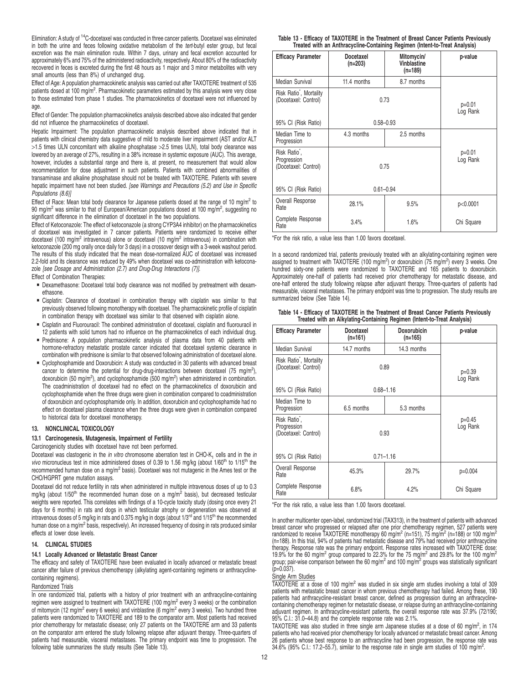Elimination: A study of <sup>14</sup>C-docetaxel was conducted in three cancer patients. Docetaxel was eliminated in both the urine and feces following oxidative metabolism of the tert-butyl ester group, but fecal excretion was the main elimination route. Within 7 days, urinary and fecal excretion accounted for approximately 6% and 75% of the administered radioactivity, respectively. About 80% of the radioactivity recovered in feces is excreted during the first 48 hours as 1 major and 3 minor metabolites with very small amounts (less than 8%) of unchanged drug.

Effect of Age: A population pharmacokinetic analysis was carried out after TAXOTERE treatment of 535 patients dosed at 100 mg/m<sup>2</sup>. Pharmacokinetic parameters estimated by this analysis were very close to those estimated from phase 1 studies. The pharmacokinetics of docetaxel were not influenced by age.

Effect of Gender: The population pharmacokinetics analysis described above also indicated that gender did not influence the pharmacokinetics of docetaxel.

Hepatic Impairment: The population pharmacokinetic analysis described above indicated that in patients with clinical chemistry data suggestive of mild to moderate liver impairment (AST and/or ALT >1.5 times ULN concomitant with alkaline phosphatase >2.5 times ULN), total body clearance was lowered by an average of 27%, resulting in a 38% increase in systemic exposure (AUC). This average, however, includes a substantial range and there is, at present, no measurement that would allow recommendation for dose adjustment in such patients. Patients with combined abnormalities of transaminase and alkaline phosphatase should not be treated with TAXOTERE. Patients with severe hepatic impairment have not been studied. [see Warnings and Precautions (5.2) and Use in Specific Populations (8.6)]

Effect of Race: Mean total body clearance for Japanese patients dosed at the range of 10 mg/m<sup>2</sup> to 90 mg/m<sup>2</sup> was similar to that of European/American populations dosed at 100 mg/m<sup>2</sup>, suggesting no significant difference in the elimination of docetaxel in the two populations.

Effect of Ketoconazole: The effect of ketoconazole (a strong CYP3A4 inhibitor) on the pharmacokinetics of docetaxel was investigated in 7 cancer patients. Patients were randomized to receive either docetaxel (100 mg/m<sup>2</sup> intravenous) alone or docetaxel (10 mg/m<sup>2</sup> intravenous) in combination with ketoconazole (200 mg orally once daily for 3 days) in a crossover design with a 3-week washout period. The results of this study indicated that the mean dose-normalized AUC of docetaxel was increased 2.2-fold and its clearance was reduced by 49% when docetaxel was co-administration with ketoconazole [see Dosage and Administration (2.7) and Drug-Drug Interactions (7)].

Effect of Combination Therapies:

- **Dexamethasone: Docetaxel total body clearance was not modified by pretreatment with dexam**ethasone.
- Cisplatin: Clearance of docetaxel in combination therapy with cisplatin was similar to that previously observed following monotherapy with docetaxel. The pharmacokinetic profile of cisplatin in combination therapy with docetaxel was similar to that observed with cisplatin alone.
- Cisplatin and Fluorouracil: The combined administration of docetaxel, cisplatin and fluorouracil in 12 patients with solid tumors had no influence on the pharmacokinetics of each individual drug.
- Prednisone: A population pharmacokinetic analysis of plasma data from 40 patients with hormone-refractory metastatic prostate cancer indicated that docetaxel systemic clearance in combination with prednisone is similar to that observed following administration of docetaxel alone.
- Cyclophosphamide and Doxorubicin: A study was conducted in 30 patients with advanced breast cancer to determine the potential for drug-drug-interactions between docetaxel (75 mg/m<sup>2</sup>), doxorubicin (50 mg/m<sup>2</sup>), and cyclophosphamide (500 mg/m<sup>2</sup>) when administered in combination. The coadministration of docetaxel had no effect on the pharmacokinetics of doxorubicin and cyclophosphamide when the three drugs were given in combination compared to coadministration of doxorubicin and cyclophosphamide only. In addition, doxorubicin and cyclophosphamide had no effect on docetaxel plasma clearance when the three drugs were given in combination compared to historical data for docetaxel monotherapy.

### **13. NONCLINICAL TOXICOLOGY**

# **13.1 Carcinogenesis, Mutagenesis, Impairment of Fertility**

Carcinogenicity studies with docetaxel have not been performed.

Docetaxel was clastogenic in the *in vitro* chromosome aberration test in CHO-K<sub>1</sub> cells and in the *in* vivo micronucleus test in mice administered doses of 0.39 to 1.56 mg/kg (about  $1/60<sup>th</sup>$  to  $1/15<sup>th</sup>$  the recommended human dose on a mg/m<sup>2</sup> basis). Docetaxel was not mutagenic in the Ames test or the CHO/HGPRT gene mutation assays.

Docetaxel did not reduce fertility in rats when administered in multiple intravenous doses of up to 0.3 mg/kg (about 1/50<sup>th</sup> the recommended human dose on a mg/m<sup>2</sup> basis), but decreased testicular weights were reported. This correlates with findings of a 10-cycle toxicity study (dosing once every 21 days for 6 months) in rats and dogs in which testicular atrophy or degeneration was observed at intravenous doses of 5 mg/kg in rats and 0.375 mg/kg in dogs (about 1/3<sup>rd</sup> and 1/15<sup>th</sup> the recommended human dose on a mg/m<sup>2</sup> basis, respectively). An increased frequency of dosing in rats produced similar effects at lower dose levels.

# **14. CLINICAL STUDIES**

## **14.1 Locally Advanced or Metastatic Breast Cancer**

The efficacy and safety of TAXOTERE have been evaluated in locally advanced or metastatic breast cancer after failure of previous chemotherapy (alkylating agent-containing regimens or anthracyclinecontaining regimens).

# Randomized Trials

In one randomized trial, patients with a history of prior treatment with an anthracycline-containing regimen were assigned to treatment with TAXOTERE (100 mg/m<sup>2</sup> every 3 weeks) or the combination of mitomycin (12 mg/m<sup>2</sup> every 6 weeks) and vinblastine (6 mg/m<sup>2</sup> every 3 weeks). Two hundred three patients were randomized to TAXOTERE and 189 to the comparator arm. Most patients had received prior chemotherapy for metastatic disease; only 27 patients on the TAXOTERE arm and 33 patients on the comparator arm entered the study following relapse after adjuvant therapy. Three-quarters of patients had measurable, visceral metastases. The primary endpoint was time to progression. The following table summarizes the study results (See Table 13).

| Table 13 - Efficacy of TAXOTERE in the Treatment of Breast Cancer Patients Previously |  |  |  |  |  |
|---------------------------------------------------------------------------------------|--|--|--|--|--|
| Treated with an Anthracycline-Containing Regimen (Intent-to-Treat Analysis)           |  |  |  |  |  |

| <b>Efficacy Parameter</b>                                        | <b>Docetaxel</b><br>$(n=203)$ | Mitomycin/<br>Vinblastine<br>$(n=189)$ | p-value    |  |  |
|------------------------------------------------------------------|-------------------------------|----------------------------------------|------------|--|--|
| Median Survival                                                  | 11.4 months                   | 8.7 months                             |            |  |  |
| Risk Ratio <sup>*</sup> , Mortality<br>(Docetaxel: Control)      |                               | 0.73                                   |            |  |  |
| 95% CI (Risk Ratio)                                              | $0.58 - 0.93$                 |                                        |            |  |  |
| Median Time to<br>Progression                                    | 4.3 months                    | 2.5 months                             |            |  |  |
| Risk Ratio <sup>*</sup> ,<br>Progression<br>(Docetaxel: Control) | 0.75                          | $p=0.01$<br>Log Rank                   |            |  |  |
| 95% CI (Risk Ratio)                                              | $0.61 - 0.94$                 |                                        |            |  |  |
| Overall Response<br>Rate                                         | 28.1%                         | 9.5%                                   | p<0.0001   |  |  |
| Complete Response<br>Rate                                        | 3.4%                          | 1.6%                                   | Chi Square |  |  |

\*For the risk ratio, a value less than 1.00 favors docetaxel.

In a second randomized trial, patients previously treated with an alkylating-containing regimen were assigned to treatment with TAXOTERE (100 mg/m<sup>2</sup>) or doxorubicin (75 mg/m<sup>2</sup>) every 3 weeks. One hundred sixty-one patients were randomized to TAXOTERE and 165 patients to doxorubicin. Approximately one-half of patients had received prior chemotherapy for metastatic disease, and one-half entered the study following relapse after adjuvant therapy. Three-quarters of patients had measurable, visceral metastases. The primary endpoint was time to progression. The study results are summarized below (See Table 14).

#### **Table 14 - Efficacy of TAXOTERE in the Treatment of Breast Cancer Patients Previously Treated with an Alkylating-Containing Regimen (Intent-to-Treat Analysis)**

| <b>Efficacy Parameter</b>                                        | Docetaxel<br>$(n=161)$ | <b>Doxorubicin</b><br>$(n=165)$ | p-value    |  |  |
|------------------------------------------------------------------|------------------------|---------------------------------|------------|--|--|
| Median Survival                                                  | 14.7 months            | 14.3 months                     |            |  |  |
| Risk Ratio <sup>*</sup> , Mortality<br>(Docetaxel: Control)      |                        | 0.89                            |            |  |  |
| 95% CI (Risk Ratio)                                              |                        | $0.68 - 1.16$                   |            |  |  |
| Median Time to<br>Progression                                    | 6.5 months             | 5.3 months                      |            |  |  |
| Risk Ratio <sup>*</sup> .<br>Progression<br>(Docetaxel: Control) | 0.93                   | $p=0.45$<br>Log Rank            |            |  |  |
| 95% CI (Risk Ratio)                                              | $0.71 - 1.16$          |                                 |            |  |  |
| Overall Response<br>Rate                                         | 45.3%                  | 29.7%                           | p=0.004    |  |  |
| Complete Response<br>Rate                                        | 6.8%                   | 4.2%                            | Chi Square |  |  |

\*For the risk ratio, a value less than 1.00 favors docetaxel.

In another multicenter open-label, randomized trial (TAX313), in the treatment of patients with advanced breast cancer who progressed or relapsed after one prior chemotherapy regimen, 527 patients were<br>randomized to receive TAXOTERE monotherapy 60 mg/m<sup>2</sup> (n=151), 75 mg/m<sup>2</sup> (n=188) or 100 mg/m<sup>2</sup> (n=188). In this trial, 94% of patients had metastatic disease and 79% had received prior anthracycline therapy. Response rate was the primary endpoint. Response rates increased with TAXOTERE dose:<br>19.9% for the 60 mg/m<sup>2</sup> group compared to 22.3% for the 75 mg/m<sup>2</sup> and 29.8% for the 100 mg/m<sup>2</sup> group; pair-wise comparison between the 60 mg/m<sup>2</sup> and 100 mg/m<sup>2</sup> groups was statistically significant  $(p=0.037)$ .

#### Single Arm Studies

TAXOTERE at a dose of 100 mg/m<sup>2</sup> was studied in six single arm studies involving a total of 309<br>patients with metastatic breast cancer in whom previous chemotherapy had failed. Among these, 190 patients had anthracycline-resistant breast cancer, defined as progression during an anthracyclinecontaining chemotherapy regimen for metastatic disease, or relapse during an anthracycline-containing adjuvant regimen. In anthracycline-resistant patients, the overall response rate was 37.9% (72/190; 95% C.I.: 31.0–44.8) and the complete response rate was 2.1%.

TAXOTERE was also studied in three single arm Japanese studies at a dose of 60 mg/m<sup>2</sup>, in 174 patients who had received prior chemotherapy for locally advanced or metastatic breast cancer. Among 26 patients whose best response to an anthracycline had been progression, the response rate was 34.6% (95% C.I.: 17.2–55.7), similar to the response rate in single arm studies of 100 mg/m<sup>2</sup>.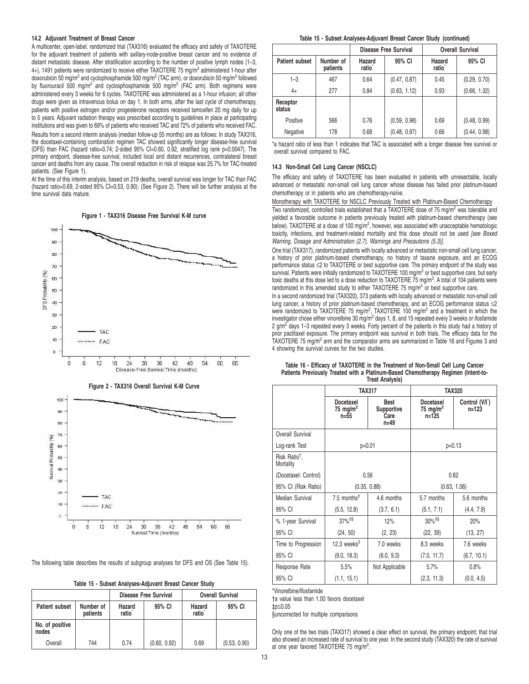#### **14.2 Adjuvant Treatment of Breast Cancer**

A multicenter, open-label, randomized trial (TAX316) evaluated the efficacy and safety of TAXOTERE for the adjuvant treatment of patients with axillary-node-positive breast cancer and no evidence of distant metastatic disease. After stratification according to the number of positive lymph nodes (1–3, 4+), 1491 patients were randomized to receive either TAXOTERE 75 mg/m<sup>2</sup> administered 1-hour after doxorubicin 50 mg/m<sup>2</sup> and cyclophosphamide 500 mg/m<sup>2</sup> (TAC arm), or doxorubicin 50 mg/m<sup>2</sup> followed by fluorouracil 500 mg/m<sup>2</sup> and cyclosphosphamide 500 mg/m<sup>2</sup> (FAC arm). Both regimens were administered every 3 weeks for 6 cycles. TAXOTERE was administered as a 1-hour infusion; all other drugs were given as intravenous bolus on day 1. In both arms, after the last cycle of chemotherapy, patients with positive estrogen and/or progesterone receptors received tamoxifen 20 mg daily for up to 5 years. Adjuvant radiation therapy was prescribed according to guidelines in place at participating institutions and was given to 69% of patients who received TAC and 72% of patients who received FAC. Results from a second interim analysis (median follow-up 55 months) are as follows: In study TAX316, the docetaxel-containing combination regimen TAC showed significantly longer disease-free survival (DFS) than FAC (hazard ratio=0.74; 2-sided 95% CI=0.60, 0.92, stratified log rank p=0.0047). The primary endpoint, disease-free survival, included local and distant recurrences, contralateral breast cancer and deaths from any cause. The overall reduction in risk of relapse was 25.7% for TAC-treated patients. (See Figure 1).

.<br>At the time of this interim analysis, based on 219 deaths, overall survival was longer for TAC than FAC (hazard ratio=0.69, 2-sided 95% CI=0.53, 0.90). (See Figure 2). There will be further analysis at the time survival data mature.

**Figure 1 - TAX316 Disease Free Survival K-M curve**





The following table describes the results of subgroup analyses for DFS and OS (See Table 15).

| Table 15 - Subset Analyses-Adjuvant Breast Cancer Study |  |  |  |  |
|---------------------------------------------------------|--|--|--|--|
|---------------------------------------------------------|--|--|--|--|

|                          |                       |                                        | <b>Disease Free Survival</b> | <b>Overall Survival</b>                |              |  |
|--------------------------|-----------------------|----------------------------------------|------------------------------|----------------------------------------|--------------|--|
| <b>Patient subset</b>    | Number of<br>patients | 95% CI<br>Hazard<br>ratio <sup>®</sup> |                              | 95% CI<br>Hazard<br>ratio <sup>®</sup> |              |  |
| No. of positive<br>nodes |                       |                                        |                              |                                        |              |  |
| Overall                  | 744                   | 0.74                                   | (0.60, 0.92)                 | 0.69                                   | (0.53, 0.90) |  |

## **Table 15 - Subset Analyses-Adjuvant Breast Cancer Study (continued)**

|                       |                       | <b>Disease Free Survival</b> |              |                              | <b>Overall Survival</b> |
|-----------------------|-----------------------|------------------------------|--------------|------------------------------|-------------------------|
| <b>Patient subset</b> | Number of<br>patients | Hazard<br>ratio <sup>®</sup> | 95% CI       | Hazard<br>ratio <sup>®</sup> | 95% CI                  |
| $1 - 3$               | 467                   | 0.64                         | (0.47, 0.87) | 0.45                         | (0.29, 0.70)            |
| $4+$                  | 277                   | 0.84                         | (0.63, 1.12) | 0.93                         | (0.66, 1.32)            |
| Receptor<br>status    |                       |                              |              |                              |                         |
| Positive              | 566                   | 0.76                         | (0.59, 0.98) | 0.69                         | (0.48, 0.99)            |
| Negative              | 178                   | 0.68                         | (0.48, 0.97) | 0.66                         | (0.44, 0.98)            |

\*a hazard ratio of less than 1 indicates that TAC is associated with a longer disease free survival or overall survival compared to FAC.

# **14.3 Non-Small Cell Lung Cancer (NSCLC)**

The efficacy and safety of TAXOTERE has been evaluated in patients with unresectable, locally advanced or metastatic non-small cell lung cancer whose disease has failed prior platinum-based chemotherapy or in patients who are chemotherapy-naïve.

Monotherapy with TAXOTERE for NSCLC Previously Treated with Platinum-Based Chemotherapy

Two randomized, controlled trials established that a TAXOTERE dose of 75 mg/m<sup>2</sup> was tolerable and yielded a favorable outcome in patients previously treated with platinum-based chemotherapy (see below). TAXOTERE at a dose of 100 mg/m<sup>2</sup>, however, was associated with unacceptable hematologic toxicity, infections, and treatment-related mortality and this dose should not be used [see Boxed Warning, Dosage and Administration (2.7), Warnings and Precautions (5.3)].

One trial (TAX317), randomized patients with locally advanced or metastatic non-small cell lung cancer, a history of prior platinum-based chemotherapy, no history of taxane exposure, and an ECOG performance status ≤2 to TAXOTERE or best supportive care. The primary endpoint of the study was survival. Patients were initially randomized to TAXOTERE 100 mg/m<sup>2</sup> or best supportive care, but early toxic deaths at this dose led to a dose reduction to TAXOTERE 75 mg/m<sup>2</sup>. A total of 104 patients were randomized in this amended study to either TAXOTERE 75 mg/m<sup>2</sup> or best supportive care.

In a second randomized trial (TAX320), 373 patients with locally advanced or metastatic non-small cell lung cancer, a history of prior platinum-based chemotherapy, and an ECOG performance status ≤2 were randomized to TAXOTERE 75 mg/m<sup>2</sup>, TAXOTERE 100 mg/m<sup>2</sup> and a treatment in which the<br>investigator chose either vinorelbine 30 mg/m<sup>2</sup> days 1, 8, and 15 repeated every 3 weeks or ifosfamide 2 g/m<sup>2</sup> days 1-3 repeated every 3 weeks. Forty percent of the patients in this study had a history of prior paclitaxel exposure. The primary endpoint was survival in both trials. The efficacy data for the TAXOTERE 75 mg/m<sup>2</sup> arm and the comparator arms are summarized in Table 16 and Figures 3 and 4 showing the survival curves for the two studies.

|                                        |                                               | <b>TAX317</b>                                 | <b>TAX320</b>                              |                                          |  |  |
|----------------------------------------|-----------------------------------------------|-----------------------------------------------|--------------------------------------------|------------------------------------------|--|--|
|                                        | Docetaxel<br>75 mg/m <sup>2</sup><br>$n = 55$ | Best<br><b>Supportive</b><br>Care<br>$n = 49$ | Docetaxel<br>75 mg/m <sup>2</sup><br>n=125 | Control (V/I <sup>*</sup> )<br>$n = 123$ |  |  |
| Overall Survival                       |                                               |                                               |                                            |                                          |  |  |
| Log-rank Test                          | $p=0.01$                                      |                                               |                                            | $p=0.13$                                 |  |  |
| Risk Ratio <sup>†</sup> .<br>Mortality |                                               |                                               |                                            |                                          |  |  |
| (Docetaxel: Control)                   | 0.56                                          |                                               | 0.82                                       |                                          |  |  |
| 95% CI (Risk Ratio)                    |                                               | (0.35, 0.88)                                  | (0.63, 1.06)                               |                                          |  |  |
| Median Survival                        | 7.5 months <sup><math>‡</math></sup>          | 4.6 months                                    | 5.7 months                                 | 5.6 months                               |  |  |
| 95% CI                                 | (5.5, 12.8)                                   | (3.7, 6.1)                                    | (5.1, 7.1)                                 | (4.4, 7.9)                               |  |  |
| % 1-year Survival                      | $37\%$ <sup>‡§</sup>                          | 12%                                           | $30\%$ <sup>‡§</sup>                       | 20%                                      |  |  |
| 95% CI                                 | (24, 50)                                      | (2, 23)                                       | (22, 39)                                   | (13, 27)                                 |  |  |
| Time to Progression                    | 12.3 weeks $‡$                                | 7.0 weeks                                     | 8.3 weeks                                  | 7.6 weeks                                |  |  |
| 95% CI                                 | (9.0, 18.3)                                   | (6.0, 9.3)                                    | (7.0, 11.7)                                | (6.7, 10.1)                              |  |  |
| Response Rate                          | 5.5%                                          | Not Applicable                                | 5.7%                                       | 0.8%                                     |  |  |
| 95% CI                                 | (1.1, 15.1)                                   |                                               | (2.3, 11.3)                                | (0.0, 4.5)                               |  |  |

#### **Table 16 - Efficacy of TAXOTERE in the Treatment of Non-Small Cell Lung Cancer** Patients Previously Treated with a Platinum-Based Chemotherapy Regimen (Intent-to-**Treat Analysis)**

\*Vinorelbine/Ifosfamide

†a value less than 1.00 favors docetaxel ‡p≤0.05

§uncorrected for multiple comparisons

Only one of the two trials (TAX317) showed a clear effect on survival, the primary endpoint; that trial also showed an increased rate of survival to one year. In the second study (TAX320) the rate of survival at one year favored TAXOTERE 75 mg/m<sup>2</sup>.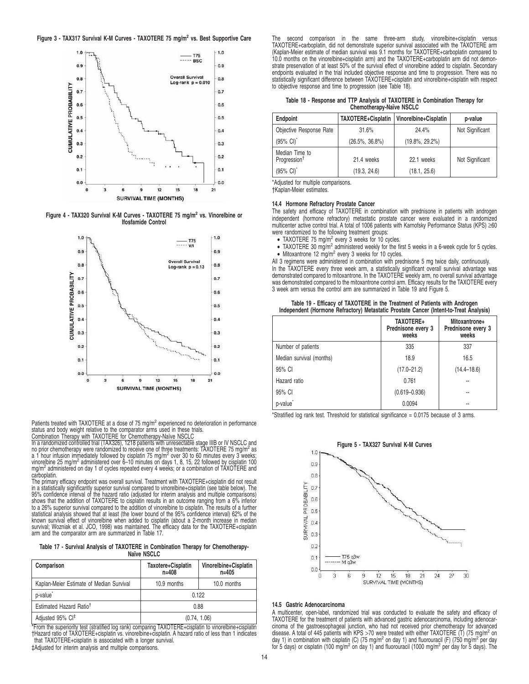

**Figure 4 - TAX320 Survival K-M Curves - TAXOTERE 75 mg/m<sup>2</sup> vs. Vinorelbine or Ifosfamide Control**



Patients treated with TAXOTERE at a dose of 75 mg/m<sup>2</sup> experienced no deterioration in performance

status and body weight relative to the comparator arms used in these trials.<br>Combination Therapy with TAXOTERE for Chemotherapy-Naïve NSCLC<br>In a randomized controlled trial (TAX326), 1218 patients with unresectable stage I no prior chemotherapy were randomized to receive one of three treatments: TAXOTERE 75 mg/m<sup>2</sup> as a 1 hour infusion immediately followed by cisplatin 75 mg/m<sup>2</sup> over 30 to 60 minutes every 3 weeks; vinorelbine 25 mg/m<sup>2</sup> administered over 6-10 minutes on days 1, 8, 15, 22 followed by cisplatin 100 mg/m<sup>2</sup> administered on day 1 of cycles repeated every 4 weeks; or a combination of TAXOTERE and carboplatin.

The primary efficacy endpoint was overall survival. Treatment with TAXOTERE+cisplatin did not result in a statistically significantly superior survival compared to vinorelbine+cisplatin (see table below). The 95% confidence interval of the hazard ratio (adjusted for interim analysis and multiple comparisons) shows that the addition of TAXOTERE to cisplatin results in an outcome ranging from a 6% inferior to a 26% superior survival compared to the addition of vinorelbine to cisplatin. The results of a further<br>statistical analysis showed that at least (the lower bound of the 95% confidence interval) 62% of the<br>known survival arm and the comparator arm are summarized in Table 17.

**Table 17 - Survival Analysis of TAXOTERE in Combination Therapy for Chemotherapy-Naïve NSCLC**

| Comparison                               | Taxotere+Cisplatin<br>$n = 408$ | Vinorelbine+Cisplatin<br>$n=405$ |  |
|------------------------------------------|---------------------------------|----------------------------------|--|
| Kaplan-Meier Estimate of Median Survival | 10.9 months                     | 10.0 months                      |  |
| p-value <sup>®</sup>                     |                                 | 0.122                            |  |
| Estimated Hazard Ratio <sup>†</sup>      | 0.88                            |                                  |  |
| Adjusted 95% CI <sup>‡</sup>             | (0.74, 1.06)                    |                                  |  |

\*From the superiority test (stratified log rank) comparing TAXOTERE+cisplatin to vinorelbine+cisplatin †Hazard ratio of TAXOTERE+cisplatin vs. vinorelbine+cisplatin. A hazard ratio of less than 1 indicates that TAXOTERE+cisplatin is associated with a longer survival. ‡Adjusted for interim analysis and multiple comparisons.

second comparison in the same three-arm study, vinorelbine+cisplatin TAXOTERE+carboplatin, did not demonstrate superior survival associated with the TAXOTERE arm (Kaplan-Meier estimate of median survival was 9.1 months for TAXOTERE+carboplatin compared to 10.0 months on the vinorelbine+cisplatin arm) and the TAXOTERE+carboplatin arm did not demonstrate preservation of at least 50% of the survival effect of vinorelbine added to cisplatin. Secondary endpoints evaluated in the trial included objective response and time to progression. There was no statistically significant difference between TAXOTERE+cisplatin and vinorelbine+cisplatin with respect to objective response and time to progression (see Table 18).

| Table 18 - Response and TTP Analysis of TAXOTERE in Combination Therapy for |  |                          |  |
|-----------------------------------------------------------------------------|--|--------------------------|--|
|                                                                             |  | Chemotherapy-Naïve NSCLC |  |

| <b>Endpoint</b>                            | TAXOTERE+Cisplatin | Vinorelbine+Cisplatin | p-value         |
|--------------------------------------------|--------------------|-----------------------|-----------------|
| Objective Response Rate                    | 31.6%              | 24.4%                 | Not Significant |
| $(95\% \text{ Cl})^*$                      | $(26.5\%, 36.8\%)$ | $(19.8\%, 29.2\%)$    |                 |
| Median Time to<br>Progression <sup>†</sup> | 21.4 weeks         | 22.1 weeks            | Not Significant |
| $(95\% \text{ Cl})^*$                      | (19.3, 24.6)       | (18.1, 25.6)          |                 |

\*Adjusted for multiple comparisons.

†Kaplan-Meier estimates.

# **14.4 Hormone Refractory Prostate Cancer**

The safety and efficacy of TAXOTERE in combination with prednisone in patients with androgen independent (hormone refractory) metastatic prostate cancer were evaluated in a randomized multicenter active control trial. A total of 1006 patients with Karnofsky Performance Status (KPS) ≥60 were randomized to the following treatment groups:

- $\bullet$  TAXOTERE 75 mg/m<sup>2</sup> every 3 weeks for 10 cycles.
- TAXOTERE 30 mg/m<sup>2</sup> administered weekly for the first 5 weeks in a 6-week cycle for 5 cycles.<br>• Mitoxantrone 12 mg/m<sup>2</sup> every 3 weeks for 10 cycles.

All 3 regimens were administered in combination with prednisone 5 mg twice daily, continuously. In the TAXOTERE every three week arm, a statistically significant overall survival advantage was demonstrated compared to mitoxantrone. In the TAXOTERE weekly arm, no overall survival advantage was demonstrated compared to the mitoxantrone control arm. Efficacy results for the TAXOTERE every 3 week arm versus the control arm are summarized in Table 19 and Figure 5.

|                                                                                        | Table 19 - Efficacy of TAXOTERE in the Treatment of Patients with Androgen |  |  |  |
|----------------------------------------------------------------------------------------|----------------------------------------------------------------------------|--|--|--|
| Independent (Hormone Refractory) Metastatic Prostate Cancer (Intent-to-Treat Analysis) |                                                                            |  |  |  |

|                          | TAXOTERE+<br>Prednisone every 3<br>weeks | Mitoxantrone+<br>Prednisone every 3<br>weeks |
|--------------------------|------------------------------------------|----------------------------------------------|
| Number of patients       | 335                                      | 337                                          |
| Median survival (months) | 18.9                                     | 16.5                                         |
| 95% CI                   | $(17.0 - 21.2)$                          | $(14.4 - 18.6)$                              |
| Hazard ratio             | 0.761                                    |                                              |
| 95% CI                   | $(0.619 - 0.936)$                        | --                                           |
| p-value <sup>*</sup>     | 0.0094                                   |                                              |

\*Stratified log rank test. Threshold for statistical significance = 0.0175 because of 3 arms.



#### **14.5 Gastric Adenocarcinoma**

A multicenter, open-label, randomized trial was conducted to evaluate the safety and efficacy of TAXOTERE for the treatment of patients with advanced gastric adenocarcinoma, including adenocarcinoma of the gastroesophageal junction, who had not received prior chemotherapy for advanced<br>disease. A total of 445 patients with KPS >70 were treated with either TAXOTERE (T) (75 mg/m<sup>2</sup> on day 1) in combination with cisplatin (C) (75 mg/m<sup>2</sup> on day 1) and fluorouracil (F) (750 mg/m<sup>2</sup> per day for 5 days) or cisplatin (100 mg/m² on day 1) and fluorouracil (1000 mg/m² per day for 5 days). The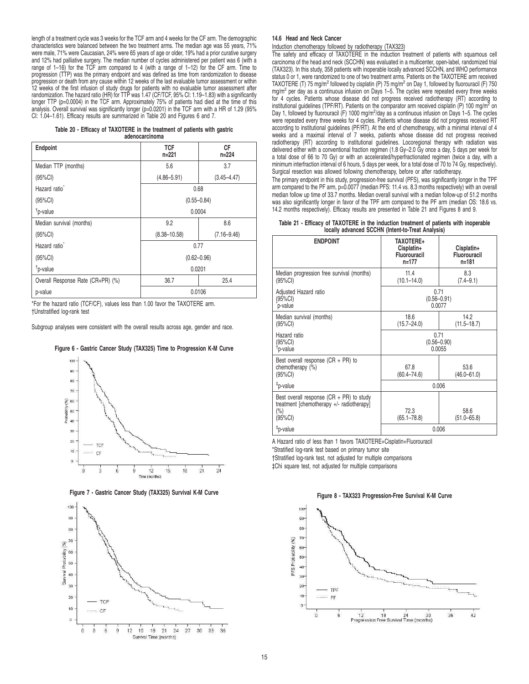length of a treatment cycle was 3 weeks for the TCF arm and 4 weeks for the CF arm. The demographic characteristics were balanced between the two treatment arms. The median age was 55 years, 71% were male, 71% were Caucasian, 24% were 65 years of age or older, 19% had a prior curative surgery and 12% had palliative surgery. The median number of cycles administered per patient was 6 (with a range of 1–16) for the TCF arm compared to 4 (with a range of 1–12) for the CF arm. Time to progression (TTP) was the primary endpoint and was defined as time from randomization to disease progression or death from any cause within 12 weeks of the last evaluable tumor assessment or within 12 weeks of the first infusion of study drugs for patients with no evaluable tumor assessment after randomization. The hazard ratio (HR) for TTP was 1.47 (CF/TCF, 95% CI: 1.19–1.83) with a significantly longer TTP (p=0.0004) in the TCF arm. Approximately 75% of patients had died at the time of this analysis. Overall survival was significantly longer (p=0.0201) in the TCF arm with a HR of 1.29 (95% CI: 1.04–1.61). Efficacy results are summarized in Table 20 and Figures 6 and 7.

| Table 20 - Efficacy of TAXOTERE in the treatment of patients with gastric |                |  |  |
|---------------------------------------------------------------------------|----------------|--|--|
|                                                                           | adenocarcinoma |  |  |

| Endpoint                          | <b>TCF</b><br>$n=221$ | <b>CF</b><br>$n = 224$ |  |  |
|-----------------------------------|-----------------------|------------------------|--|--|
| Median TTP (months)               | 5.6                   | 3.7                    |  |  |
| (95%CI)                           | $(4.86 - 5.91)$       | $(3.45 - 4.47)$        |  |  |
| Hazard ratio                      |                       | 0.68                   |  |  |
| (95%CI)                           | $(0.55 - 0.84)$       |                        |  |  |
| <sup>†</sup> p-value              | 0.0004                |                        |  |  |
| Median survival (months)          | 9.2                   | 8.6                    |  |  |
| (95%CI)                           | $(8.38 - 10.58)$      | $(7.16 - 9.46)$        |  |  |
| Hazard ratio <sup>*</sup>         |                       | 0.77                   |  |  |
| $(95\%CI)$                        | $(0.62 - 0.96)$       |                        |  |  |
| <sup>†</sup> p-value              | 0.0201                |                        |  |  |
| Overall Response Rate (CR+PR) (%) | 36.7                  | 25.4                   |  |  |
| p-value                           | 0.0106                |                        |  |  |

\*For the hazard ratio (TCF/CF), values less than 1.00 favor the TAXOTERE arm. †Unstratified log-rank test

Subgroup analyses were consistent with the overall results across age, gender and race.









#### **14.6 Head and Neck Cancer**

Induction chemotherapy followed by radiotherapy (TAX323)

The safety and efficacy of TAXOTERE in the induction treatment of patients with squamous cell carcinoma of the head and neck (SCCHN) was evaluated in a multicenter, open-label, randomized trial (TAX323). In this study, 358 patients with inoperable locally advanced SCCHN, and WHO performance status 0 or 1, were randomized to one of two treatment arms. Patients on the TAXOTERE arm received TAXOTERE (T) 75 mg/m<sup>2</sup> followed by cisplatin (P) 75 mg/m<sup>2</sup> on Day 1, followed by fluorouracil (F) 750 mg/m<sup>2</sup> per day as a continuous infusion on Days 1-5. The cycles were repeated every three weeks for 4 cycles. Patients whose disease did not progress received radiotherapy (RT) according to institutional guidelines (TPF/RT). Patients on the comparator arm received cisplatin (P) 100 mg/m<sup>2</sup> on Day 1, followed by fluorouracil (F) 1000 mg/m<sup>2</sup>/day as a continuous infusion on Days 1-5. The cycles were repeated every three weeks for 4 cycles. Patients whose disease did not progress received RT according to institutional guidelines (PF/RT). At the end of chemotherapy, with a minimal interval of 4 weeks and a maximal interval of 7 weeks, patients whose disease did not progress received radiotherapy (RT) according to institutional guidelines. Locoregional therapy with radiation was delivered either with a conventional fraction regimen (1.8 Gy–2.0 Gy once a day, 5 days per week for a total dose of 66 to 70 Gy) or with an accelerated/hyperfractionated regimen (twice a day, with a minimum interfraction interval of 6 hours, 5 days per week, for a total dose of 70 to 74 Gy, respectively). Surgical resection was allowed following chemotherapy, before or after radiotherapy.

The primary endpoint in this study, progression-free survival (PFS), was significantly longer in the TPF arm compared to the PF arm, p=0.0077 (median PFS: 11.4 vs. 8.3 months respectively) with an overall median follow up time of 33.7 months. Median overall survival with a median follow-up of 51.2 months was also significantly longer in favor of the TPF arm compared to the PF arm (median OS: 18.6 vs. 14.2 months respectively). Efficacy results are presented in Table 21 and Figures 8 and 9.

| Table 21 - Efficacy of TAXOTERE in the induction treatment of patients with inoperable |                                                   |  |  |
|----------------------------------------------------------------------------------------|---------------------------------------------------|--|--|
|                                                                                        | locally advanced SCCHN (Intent-to-Treat Analysis) |  |  |

| <b>ENDPOINT</b>                                                                                           | <b>TAXOTERE+</b><br>Cisplatin+<br>Fluorouracil<br>$n=177$ | Cisplatin+<br>Fluorouracil<br>$n = 181$ |  |
|-----------------------------------------------------------------------------------------------------------|-----------------------------------------------------------|-----------------------------------------|--|
| Median progression free survival (months)<br>$(95\%CI)$                                                   | 11.4<br>$(10.1 - 14.0)$                                   | 8.3<br>$(7.4 - 9.1)$                    |  |
| Adjusted Hazard ratio<br>(95%CI)<br>p-value                                                               | 0.71<br>$(0.56 - 0.91)$<br>0.0077                         |                                         |  |
| Median survival (months)<br>(95%CI)                                                                       | 18.6<br>$(15.7 - 24.0)$                                   | 14.2<br>$(11.5 - 18.7)$                 |  |
| Hazard ratio<br>(95%CI)<br><sup>†</sup> p-value                                                           | 0.71<br>$(0.56 - 0.90)$<br>0.0055                         |                                         |  |
| Best overall response $(CR + PR)$ to<br>chemotherapy (%)<br>(95%CI)                                       | 67.8<br>$(60.4 - 74.6)$                                   | 53.6<br>$(46.0 - 61.0)$                 |  |
| <sup>‡</sup> p-value                                                                                      | 0.006                                                     |                                         |  |
| Best overall response $(CR + PR)$ to study<br>treatment [chemotherapy +/- radiotherapy]<br>(%)<br>(95%CI) | 72.3<br>$(65.1 - 78.8)$                                   | 58.6<br>$(51.0 - 65.8)$                 |  |
| <sup>‡</sup> p-value                                                                                      | 0.006                                                     |                                         |  |

A Hazard ratio of less than 1 favors TAXOTERE+Cisplatin+Fluorouracil \*Stratified log-rank test based on primary tumor site †Stratified log-rank test, not adjusted for multiple comparisons

‡Chi square test, not adjusted for multiple comparisons

**Figure 8 - TAX323 Progression-Free Survival K-M Curve**

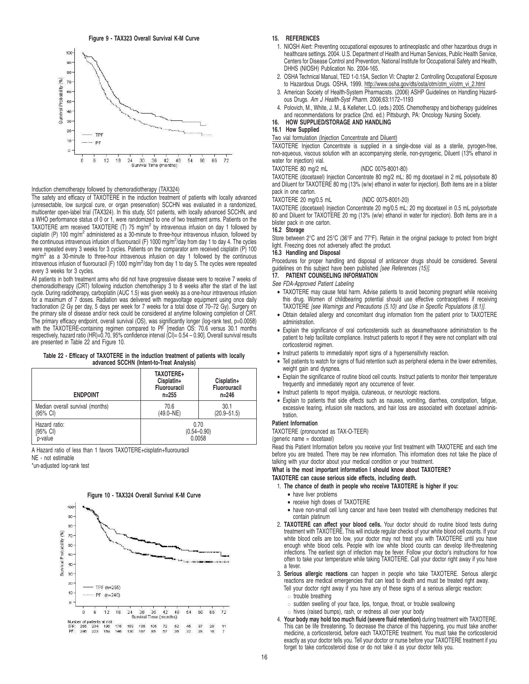**Figure 9 - TAX323 Overall Survival K-M Curve**



# Induction chemotherapy followed by chemoradiotherapy (TAX324)

The safety and efficacy of TAXOTERE in the induction treatment of patients with locally advanced (unresectable, low surgical cure, or organ preservation) SCCHN was evaluated in a randomized, multicenter open-label trial (TAX324). In this study, 501 patients, with locally advanced SCCHN, and a WHO performance status of 0 or 1, were randomized to one of two treatment arms. Patients on the<br>TAXOTERE arm received TAXOTERE (T) 75 mg/m<sup>2</sup> by intravenous infusion on day 1 followed by cisplatin (P) 100 mg/m<sup>2</sup> administered as a 30-minute to three-hour intravenous infusion, followed by the continuous intravenous infusion of fluorouracil (F) 1000 mg/m<sup>2</sup>/day from day 1 to day 4. The cycles were repeated every 3 weeks for 3 cycles. Patients on the comparator arm received cisplatin (P) 100 mg/m<sup>2</sup> as a 30-minute to three-hour intravenous infusion on day 1 followed by the continuous intravenous infusion of fluorouracil (F) 1000 mg/m<sup>2</sup>/day from day 1 to day 5. The cycles were repeated every 3 weeks for 3 cycles.

All patients in both treatment arms who did not have progressive disease were to receive 7 weeks of<br>chemoradiotherapy (CRT) following induction chemotherapy 3 to 8 weeks after the start of the last<br>cycle. During radiothera for a maximum of 7 doses. Radiation was delivered with megavoltage equipment using once daily fractionation (2 Gy per day, 5 days per week for 7 weeks for a total dose of 70–72 Gy). Surgery on the primary site of disease and/or neck could be considered at anytime following completion of CRT. The primary efficacy endpoint, overall survival (OS), was significantly longer (log-rank test, p=0.0058) with the TAXOTERE-containing regimen compared to PF [median OS: 70.6 versus 30.1 months respectively, hazard ratio (HR)=0.70, 95% confidence interval (CI)= 0.54 – 0.90]. Overall survival results are presented in Table 22 and Figure 10.

**Table 22 - Efficacy of TAXOTERE in the induction treatment of patients with locally advanced SCCHN (Intent-to-Treat Analysis)**

| <b>ENDPOINT</b>                  | TAXOTERE+<br>Cisplatin+<br>Fluorouracil<br>$n = 255$ | Cisplatin+<br>Fluorouracil<br>$n = 246$ |  |
|----------------------------------|------------------------------------------------------|-----------------------------------------|--|
| Median overall survival (months) | 70.6                                                 | 30.1                                    |  |
| (95% CI)                         | $(49.0-NE)$                                          | $(20.9 - 51.5)$                         |  |
| Hazard ratio:                    | 0.70                                                 |                                         |  |
| (95% CI)                         | $(0.54 - 0.90)$                                      |                                         |  |
| p-value                          | 0.0058                                               |                                         |  |

A Hazard ratio of less than 1 favors TAXOTERE+cisplatin+fluorouracil NE - not estimable

\*un-adjusted log-rank test



#### **Figure 10 - TAX324 Overall Survival K-M Curve**

#### **15. REFERENCES**

- 1. NIOSH Alert: Preventing occupational exposures to antineoplastic and other hazardous drugs in healthcare settings. 2004. U.S. Department of Health and Human Services, Public Health Service, Centers for Disease Control and Prevention, National Institute for Occupational Safety and Health, DHHS (NIOSH) Publication No. 2004-165.
- 2. OSHA Technical Manual, TED 1-0.15A, Section VI: Chapter 2. Controlling Occupational Exposure to Hazardous Drugs. OSHA, 1999. http://www.osha.gov/dts/osta/otm/otm\_vi/otm\_vi\_2.html
- 3. American Society of Health-System Pharmacists. (2006) ASHP Guidelines on Handling Hazardous Drugs. Am J Health-Syst Pharm. 2006;63:1172–1193
- 4. Polovich, M., White, J. M., & Kelleher, L.O. (eds.) 2005. Chemotherapy and biotherapy guidelines and recommendations for practice (2nd. ed.) Pittsburgh, PA: Oncology Nursing Society.

# **16. HOW SUPPLIED/STORAGE AND HANDLING**

## **16.1 How Supplied**

Two vial formulation (Injection Concentrate and Diluent)

TAXOTERE Injection Concentrate is supplied in a single-dose vial as a sterile, pyrogen-free, non-aqueous, viscous solution with an accompanying sterile, non-pyrogenic, Diluent (13% ethanol in water for injection) vial.

#### TAXOTERE 80 mg/2 mL (NDC 0075-8001-80)

TAXOTERE (docetaxel) Injection Concentrate 80 mg/2 mL: 80 mg docetaxel in 2 mL polysorbate 80 and Diluent for TAXOTÉRÉ 80 mg (13% (w/w) ethanol in water for injection). Both items are in a blister pack in one carton.

TAXOTERE 20 mg/0.5 mL (NDC 0075-8001-20)

TAXOTERE (docetaxel) Injection Concentrate 20 mg/0.5 mL: 20 mg docetaxel in 0.5 mL polysorbate 80 and Diluent for TAXOTERE 20 mg (13% (w/w) ethanol in water for injection). Both items are in a blister pack in one carton.

### **16.2 Storage**

Store between 2°C and 25°C (36°F and 77°F). Retain in the original package to protect from bright light. Freezing does not adversely affect the product.

#### **16.3 Handling and Disposal**

Procedures for proper handling and disposal of anticancer drugs should be considered. Several guidelines on this subject have been published [see References (15)].

# **17. PATIENT COUNSELING INFORMATION**

See FDA-Approved Patient Labeling

- TAXOTERE may cause fetal harm. Advise patients to avoid becoming pregnant while receiving this drug. Women of childbearing potential should use effective contraceptives if receiving TAXOTERE [see Warnings and Precautions (5.10) and Use in Specific Populations (8.1)].
- Obtain detailed allergy and concomitant drug information from the patient prior to TAXOTERE administration.
- Explain the significance of oral corticosteroids such as dexamethasone administration to the patient to help facilitate compliance. Instruct patients to report if they were not compliant with oral corticosteroid regimen.
- Instruct patients to immediately report signs of a hypersensitivity reaction.
- Tell patients to watch for signs of fluid retention such as peripheral edema in the lower extremities, weight gain and dyspnea.
- Explain the significance of routine blood cell counts. Instruct patients to monitor their temperature frequently and immediately report any occurrence of fever.
- Instruct patients to report myalgia, cutaneous, or neurologic reactions.
- Explain to patients that side effects such as nausea, vomiting, diarrhea, constipation, fatigue, excessive tearing, infusion site reactions, and hair loss are associated with docetaxel administration.

### **Patient Information**

TAXOTERE (pronounced as TAX-O-TEER) (generic name = docetaxel)

Read this Patient Information before you receive your first treatment with TAXOTERE and each time before you are treated. There may be new information. This information does not take the place of talking with your doctor about your medical condition or your treatment.

**What is the most important information I should know about TAXOTERE?**

#### **TAXOTERE can cause serious side effects, including death.**

- 1. **The chance of death in people who receive TAXOTERE is higher if you:**
	- have liver problems
- receive high doses of TAXOTERE
- have non-small cell lung cancer and have been treated with chemotherapy medicines that contain platinum
- 2. **TAXOTERE can affect your blood cells.** Your doctor should do routine blood tests during treatment with TAXOTERE. This will include regular checks of your white blood cell counts. If your white blood cells are too low, your doctor may not treat you with TAXOTERE until you have<br>enough white blood cells. People with low white blood counts can develop life-threatening<br>infections. The earliest sign of infection a fever.
- 3. **Serious allergic reactions** can happen in people who take TAXOTERE. Serious allergic reactions are medical emergencies that can lead to death and must be treated right away.
	- Tell your doctor right away if you have any of these signs of a serious allergic reaction:  $\circ$  trouble breathing
	- $\circ$  sudden swelling of your face, lips, tongue, throat, or trouble swallowing
	- $\circ$  hives (raised bumps), rash, or redness all over your body
- 4. **Your body may hold too much fluid (severe fluid retention)** during treatment with TAXOTERE. This can be life threatening. To decrease the chance of this happening, you must take another medicine, a corticosteroid, before each TAXOTERE treatment. You must take the corticosteroid exactly as your doctor tells you. Tell your doctor or nurse before your TAXOTERE treatment if you forget to take corticosteroid dose or do not take it as your doctor tells you.